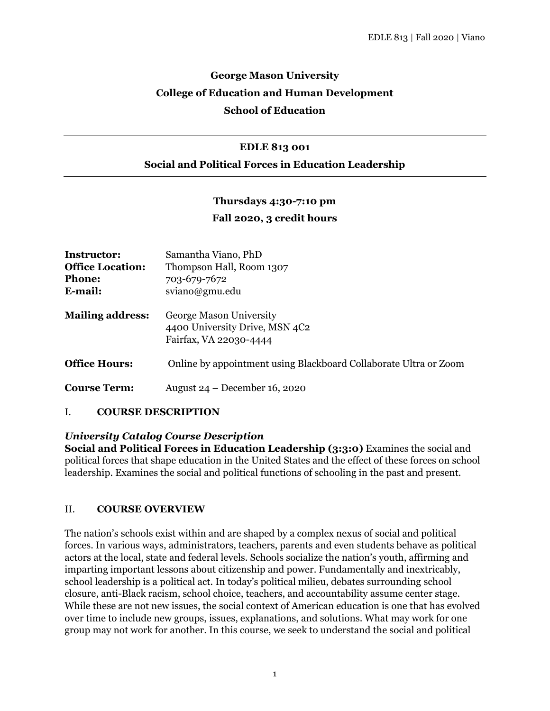# **George Mason University College of Education and Human Development School of Education**

#### **EDLE 813 001**

### **Social and Political Forces in Education Leadership**

### **Thursdays 4:30-7:10 pm**

### **Fall 2020, 3 credit hours**

| Instructor:<br><b>Office Location:</b><br><b>Phone:</b><br>E-mail: | Samantha Viano, PhD<br>Thompson Hall, Room 1307<br>703-679-7672<br>sviano@gmu.edu   |
|--------------------------------------------------------------------|-------------------------------------------------------------------------------------|
| <b>Mailing address:</b>                                            | George Mason University<br>4400 University Drive, MSN 4C2<br>Fairfax, VA 22030-4444 |
| <b>Office Hours:</b>                                               | Online by appointment using Blackboard Collaborate Ultra or Zoom                    |
| <b>Course Term:</b>                                                | August $24 - December 16, 2020$                                                     |

#### I. **COURSE DESCRIPTION**

#### *University Catalog Course Description*

**Social and Political Forces in Education Leadership (3:3:0)** Examines the social and political forces that shape education in the United States and the effect of these forces on school leadership. Examines the social and political functions of schooling in the past and present.

#### II. **COURSE OVERVIEW**

The nation's schools exist within and are shaped by a complex nexus of social and political forces. In various ways, administrators, teachers, parents and even students behave as political actors at the local, state and federal levels. Schools socialize the nation's youth, affirming and imparting important lessons about citizenship and power. Fundamentally and inextricably, school leadership is a political act. In today's political milieu, debates surrounding school closure, anti-Black racism, school choice, teachers, and accountability assume center stage. While these are not new issues, the social context of American education is one that has evolved over time to include new groups, issues, explanations, and solutions. What may work for one group may not work for another. In this course, we seek to understand the social and political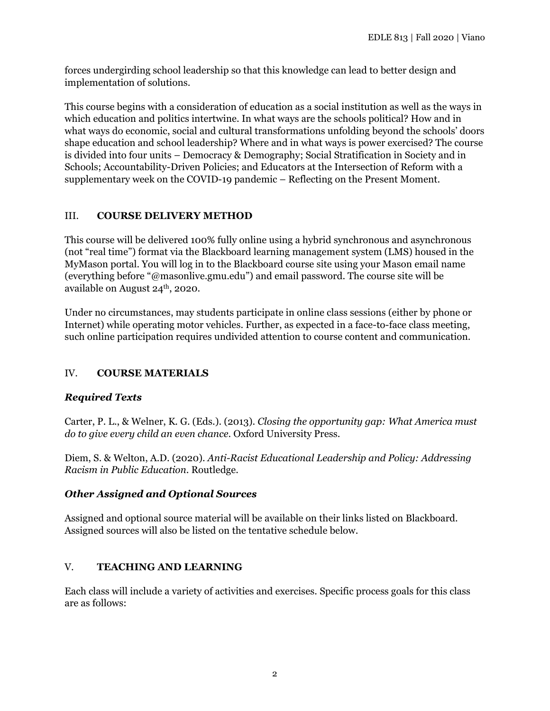forces undergirding school leadership so that this knowledge can lead to better design and implementation of solutions.

This course begins with a consideration of education as a social institution as well as the ways in which education and politics intertwine. In what ways are the schools political? How and in what ways do economic, social and cultural transformations unfolding beyond the schools' doors shape education and school leadership? Where and in what ways is power exercised? The course is divided into four units – Democracy & Demography; Social Stratification in Society and in Schools; Accountability-Driven Policies; and Educators at the Intersection of Reform with a supplementary week on the COVID-19 pandemic – Reflecting on the Present Moment.

## III. **COURSE DELIVERY METHOD**

This course will be delivered 100% fully online using a hybrid synchronous and asynchronous (not "real time") format via the Blackboard learning management system (LMS) housed in the MyMason portal. You will log in to the Blackboard course site using your Mason email name (everything before "@masonlive.gmu.edu") and email password. The course site will be available on August 24<sup>th</sup>, 2020.

Under no circumstances, may students participate in online class sessions (either by phone or Internet) while operating motor vehicles. Further, as expected in a face-to-face class meeting, such online participation requires undivided attention to course content and communication.

## IV. **COURSE MATERIALS**

## *Required Texts*

Carter, P. L., & Welner, K. G. (Eds.). (2013). *Closing the opportunity gap: What America must do to give every child an even chance*. Oxford University Press.

Diem, S. & Welton, A.D. (2020). *Anti-Racist Educational Leadership and Policy: Addressing Racism in Public Education*. Routledge.

## *Other Assigned and Optional Sources*

Assigned and optional source material will be available on their links listed on Blackboard. Assigned sources will also be listed on the tentative schedule below.

## V. **TEACHING AND LEARNING**

Each class will include a variety of activities and exercises. Specific process goals for this class are as follows: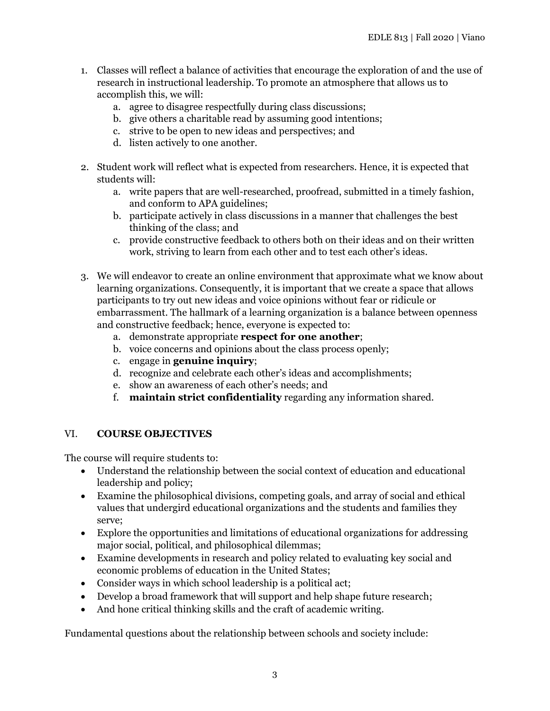- 1. Classes will reflect a balance of activities that encourage the exploration of and the use of research in instructional leadership. To promote an atmosphere that allows us to accomplish this, we will:
	- a. agree to disagree respectfully during class discussions;
	- b. give others a charitable read by assuming good intentions;
	- c. strive to be open to new ideas and perspectives; and
	- d. listen actively to one another.
- 2. Student work will reflect what is expected from researchers. Hence, it is expected that students will:
	- a. write papers that are well-researched, proofread, submitted in a timely fashion, and conform to APA guidelines;
	- b. participate actively in class discussions in a manner that challenges the best thinking of the class; and
	- c. provide constructive feedback to others both on their ideas and on their written work, striving to learn from each other and to test each other's ideas.
- 3. We will endeavor to create an online environment that approximate what we know about learning organizations. Consequently, it is important that we create a space that allows participants to try out new ideas and voice opinions without fear or ridicule or embarrassment. The hallmark of a learning organization is a balance between openness and constructive feedback; hence, everyone is expected to:
	- a. demonstrate appropriate **respect for one another**;
	- b. voice concerns and opinions about the class process openly;
	- c. engage in **genuine inquiry**;
	- d. recognize and celebrate each other's ideas and accomplishments;
	- e. show an awareness of each other's needs; and
	- f. **maintain strict confidentiality** regarding any information shared.

## VI. **COURSE OBJECTIVES**

The course will require students to:

- Understand the relationship between the social context of education and educational leadership and policy;
- Examine the philosophical divisions, competing goals, and array of social and ethical values that undergird educational organizations and the students and families they serve;
- Explore the opportunities and limitations of educational organizations for addressing major social, political, and philosophical dilemmas;
- Examine developments in research and policy related to evaluating key social and economic problems of education in the United States;
- Consider ways in which school leadership is a political act;
- Develop a broad framework that will support and help shape future research;
- And hone critical thinking skills and the craft of academic writing.

Fundamental questions about the relationship between schools and society include: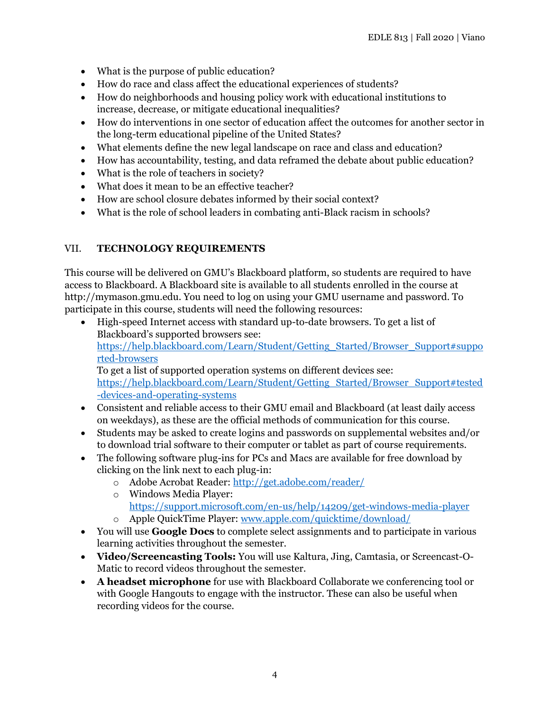- What is the purpose of public education?
- How do race and class affect the educational experiences of students?
- How do neighborhoods and housing policy work with educational institutions to increase, decrease, or mitigate educational inequalities?
- How do interventions in one sector of education affect the outcomes for another sector in the long-term educational pipeline of the United States?
- What elements define the new legal landscape on race and class and education?
- How has accountability, testing, and data reframed the debate about public education?
- What is the role of teachers in society?
- What does it mean to be an effective teacher?
- How are school closure debates informed by their social context?
- What is the role of school leaders in combating anti-Black racism in schools?

## VII. **TECHNOLOGY REQUIREMENTS**

This course will be delivered on GMU's Blackboard platform, so students are required to have access to Blackboard. A Blackboard site is available to all students enrolled in the course at http://mymason.gmu.edu. You need to log on using your GMU username and password. To participate in this course, students will need the following resources:

- High-speed Internet access with standard up-to-date browsers. To get a list of Blackboard's supported browsers see: [https://help.blackboard.com/Learn/Student/Getting\\_Started/Browser\\_Support#suppo](https://help.blackboard.com/Learn/Student/Getting_Started/Browser_Support#supported-browsers) [rted-browsers](https://help.blackboard.com/Learn/Student/Getting_Started/Browser_Support#supported-browsers) To get a list of supported operation systems on different devices see: [https://help.blackboard.com/Learn/Student/Getting\\_Started/Browser\\_Support#tested](https://help.blackboard.com/Learn/Student/Getting_Started/Browser_Support#tested-devices-and-operating-systems) [-devices-and-operating-systems](https://help.blackboard.com/Learn/Student/Getting_Started/Browser_Support#tested-devices-and-operating-systems)
- Consistent and reliable access to their GMU email and Blackboard (at least daily access on weekdays), as these are the official methods of communication for this course.
- Students may be asked to create logins and passwords on supplemental websites and/or to download trial software to their computer or tablet as part of course requirements.
- The following software plug-ins for PCs and Macs are available for free download by clicking on the link next to each plug-in:
	- o Adobe Acrobat Reader:<http://get.adobe.com/reader/>
	- o Windows Media Player:
	- <https://support.microsoft.com/en-us/help/14209/get-windows-media-player> o Apple QuickTime Player: [www.apple.com/quicktime/download/](http://www.apple.com/quicktime/download/)
- You will use **Google Docs** to complete select assignments and to participate in various learning activities throughout the semester.
- **Video/Screencasting Tools:** You will use Kaltura, Jing, Camtasia, or Screencast-O-Matic to record videos throughout the semester.
- **A headset microphone** for use with Blackboard Collaborate we conferencing tool or with Google Hangouts to engage with the instructor. These can also be useful when recording videos for the course.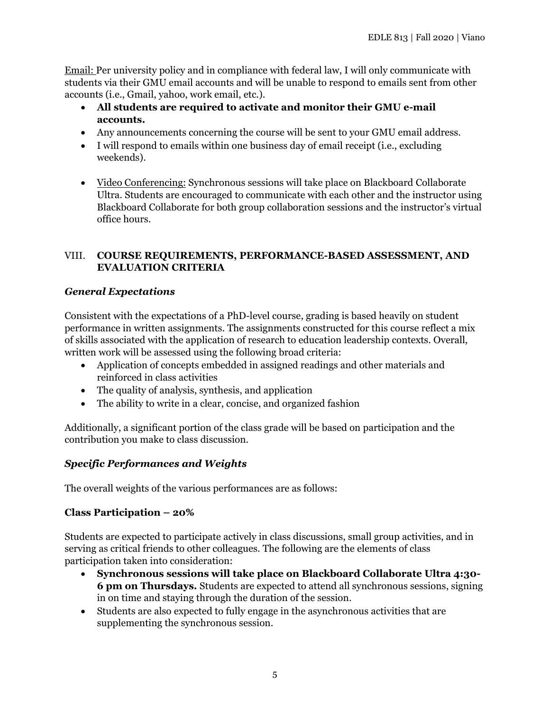Email: Per university policy and in compliance with federal law, I will only communicate with students via their GMU email accounts and will be unable to respond to emails sent from other accounts (i.e., Gmail, yahoo, work email, etc.).

- **All students are required to activate and monitor their GMU e-mail accounts.**
- Any announcements concerning the course will be sent to your GMU email address.
- I will respond to emails within one business day of email receipt (i.e., excluding weekends).
- Video Conferencing: Synchronous sessions will take place on Blackboard Collaborate Ultra. Students are encouraged to communicate with each other and the instructor using Blackboard Collaborate for both group collaboration sessions and the instructor's virtual office hours.

## VIII. **COURSE REQUIREMENTS, PERFORMANCE-BASED ASSESSMENT, AND EVALUATION CRITERIA**

## *General Expectations*

Consistent with the expectations of a PhD-level course, grading is based heavily on student performance in written assignments. The assignments constructed for this course reflect a mix of skills associated with the application of research to education leadership contexts. Overall, written work will be assessed using the following broad criteria:

- Application of concepts embedded in assigned readings and other materials and reinforced in class activities
- The quality of analysis, synthesis, and application
- The ability to write in a clear, concise, and organized fashion

Additionally, a significant portion of the class grade will be based on participation and the contribution you make to class discussion.

## *Specific Performances and Weights*

The overall weights of the various performances are as follows:

## **Class Participation – 20%**

Students are expected to participate actively in class discussions, small group activities, and in serving as critical friends to other colleagues. The following are the elements of class participation taken into consideration:

- **Synchronous sessions will take place on Blackboard Collaborate Ultra 4:30- 6 pm on Thursdays.** Students are expected to attend all synchronous sessions, signing in on time and staying through the duration of the session.
- Students are also expected to fully engage in the asynchronous activities that are supplementing the synchronous session.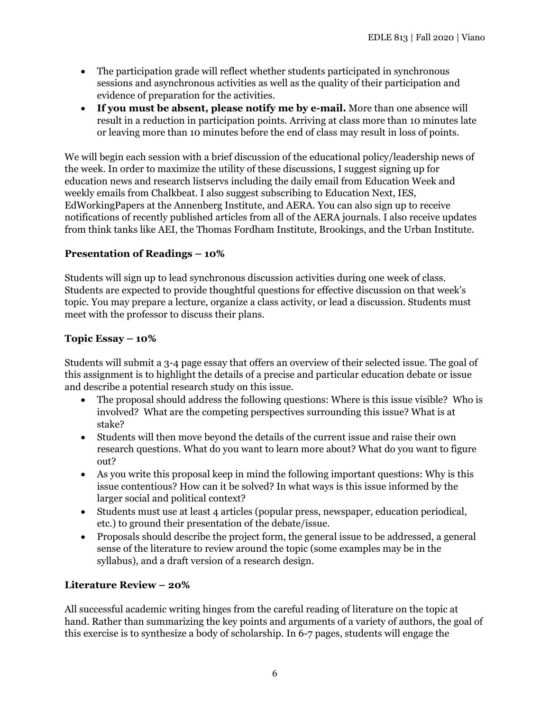- The participation grade will reflect whether students participated in synchronous sessions and asynchronous activities as well as the quality of their participation and evidence of preparation for the activities.
- **If you must be absent, please notify me by e-mail.** More than one absence will result in a reduction in participation points. Arriving at class more than 10 minutes late or leaving more than 10 minutes before the end of class may result in loss of points.

We will begin each session with a brief discussion of the educational policy/leadership news of the week. In order to maximize the utility of these discussions, I suggest signing up for education news and research listservs including the daily email from Education Week and weekly emails from Chalkbeat. I also suggest subscribing to Education Next, IES, EdWorkingPapers at the Annenberg Institute, and AERA. You can also sign up to receive notifications of recently published articles from all of the AERA journals. I also receive updates from think tanks like AEI, the Thomas Fordham Institute, Brookings, and the Urban Institute.

## **Presentation of Readings – 10%**

Students will sign up to lead synchronous discussion activities during one week of class. Students are expected to provide thoughtful questions for effective discussion on that week's topic. You may prepare a lecture, organize a class activity, or lead a discussion. Students must meet with the professor to discuss their plans.

## **Topic Essay – 10%**

Students will submit a 3-4 page essay that offers an overview of their selected issue. The goal of this assignment is to highlight the details of a precise and particular education debate or issue and describe a potential research study on this issue.

- The proposal should address the following questions: Where is this issue visible? Who is involved? What are the competing perspectives surrounding this issue? What is at stake?
- Students will then move beyond the details of the current issue and raise their own research questions. What do you want to learn more about? What do you want to figure out?
- As you write this proposal keep in mind the following important questions: Why is this issue contentious? How can it be solved? In what ways is this issue informed by the larger social and political context?
- Students must use at least 4 articles (popular press, newspaper, education periodical, etc.) to ground their presentation of the debate/issue.
- Proposals should describe the project form, the general issue to be addressed, a general sense of the literature to review around the topic (some examples may be in the syllabus), and a draft version of a research design.

## **Literature Review – 20%**

All successful academic writing hinges from the careful reading of literature on the topic at hand. Rather than summarizing the key points and arguments of a variety of authors, the goal of this exercise is to synthesize a body of scholarship. In 6-7 pages, students will engage the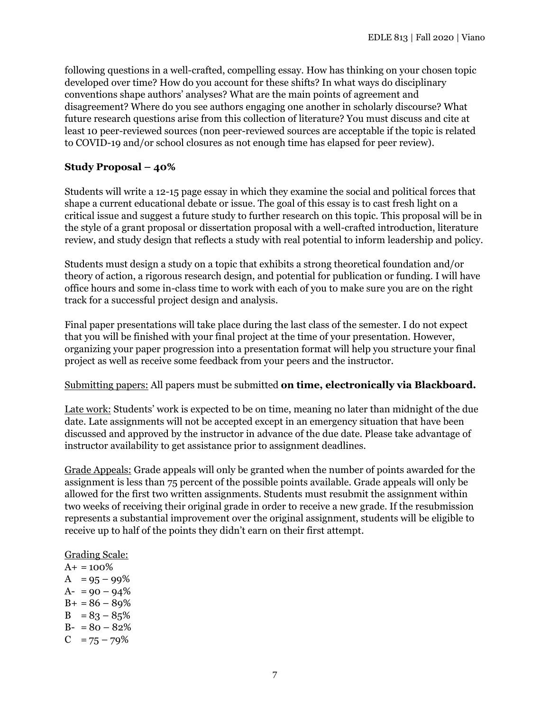following questions in a well-crafted, compelling essay. How has thinking on your chosen topic developed over time? How do you account for these shifts? In what ways do disciplinary conventions shape authors' analyses? What are the main points of agreement and disagreement? Where do you see authors engaging one another in scholarly discourse? What future research questions arise from this collection of literature? You must discuss and cite at least 10 peer-reviewed sources (non peer-reviewed sources are acceptable if the topic is related to COVID-19 and/or school closures as not enough time has elapsed for peer review).

### **Study Proposal – 40%**

Students will write a 12-15 page essay in which they examine the social and political forces that shape a current educational debate or issue. The goal of this essay is to cast fresh light on a critical issue and suggest a future study to further research on this topic. This proposal will be in the style of a grant proposal or dissertation proposal with a well-crafted introduction, literature review, and study design that reflects a study with real potential to inform leadership and policy.

Students must design a study on a topic that exhibits a strong theoretical foundation and/or theory of action, a rigorous research design, and potential for publication or funding. I will have office hours and some in-class time to work with each of you to make sure you are on the right track for a successful project design and analysis.

Final paper presentations will take place during the last class of the semester. I do not expect that you will be finished with your final project at the time of your presentation. However, organizing your paper progression into a presentation format will help you structure your final project as well as receive some feedback from your peers and the instructor.

## Submitting papers: All papers must be submitted **on time, electronically via Blackboard.**

Late work: Students' work is expected to be on time, meaning no later than midnight of the due date. Late assignments will not be accepted except in an emergency situation that have been discussed and approved by the instructor in advance of the due date. Please take advantage of instructor availability to get assistance prior to assignment deadlines.

Grade Appeals: Grade appeals will only be granted when the number of points awarded for the assignment is less than 75 percent of the possible points available. Grade appeals will only be allowed for the first two written assignments. Students must resubmit the assignment within two weeks of receiving their original grade in order to receive a new grade. If the resubmission represents a substantial improvement over the original assignment, students will be eligible to receive up to half of the points they didn't earn on their first attempt.

#### Grading Scale:

 $A+ = 100\%$  $A = 95 - 99\%$  $A- = 90 - 94\%$  $B+ = 86 - 89%$  $B = 83 - 85%$  $B- = 80 - 82%$  $C = 75 - 79\%$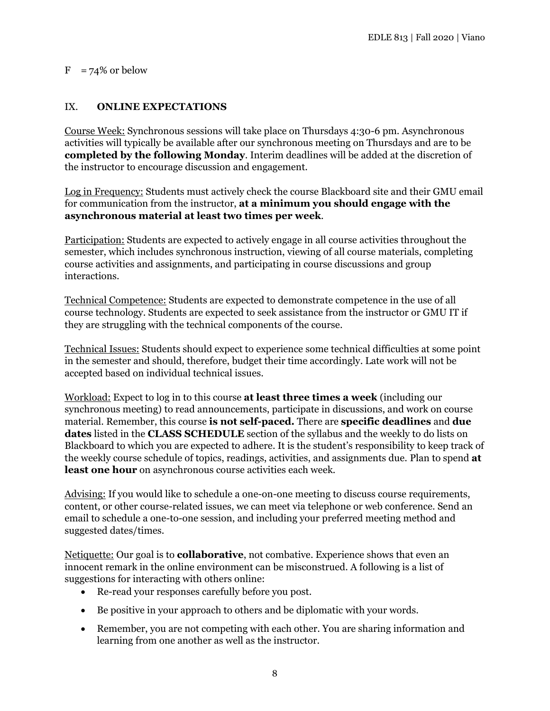### $F = 74\%$  or below

## IX. **ONLINE EXPECTATIONS**

Course Week: Synchronous sessions will take place on Thursdays 4:30-6 pm. Asynchronous activities will typically be available after our synchronous meeting on Thursdays and are to be **completed by the following Monday**. Interim deadlines will be added at the discretion of the instructor to encourage discussion and engagement.

Log in Frequency: Students must actively check the course Blackboard site and their GMU email for communication from the instructor, **at a minimum you should engage with the asynchronous material at least two times per week**.

Participation: Students are expected to actively engage in all course activities throughout the semester, which includes synchronous instruction, viewing of all course materials, completing course activities and assignments, and participating in course discussions and group interactions.

Technical Competence: Students are expected to demonstrate competence in the use of all course technology. Students are expected to seek assistance from the instructor or GMU IT if they are struggling with the technical components of the course.

Technical Issues: Students should expect to experience some technical difficulties at some point in the semester and should, therefore, budget their time accordingly. Late work will not be accepted based on individual technical issues.

Workload: Expect to log in to this course **at least three times a week** (including our synchronous meeting) to read announcements, participate in discussions, and work on course material. Remember, this course **is not self-paced.** There are **specific deadlines** and **due dates** listed in the **CLASS SCHEDULE** section of the syllabus and the weekly to do lists on Blackboard to which you are expected to adhere. It is the student's responsibility to keep track of the weekly course schedule of topics, readings, activities, and assignments due. Plan to spend **at least one hour** on asynchronous course activities each week.

Advising: If you would like to schedule a one-on-one meeting to discuss course requirements, content, or other course-related issues, we can meet via telephone or web conference. Send an email to schedule a one-to-one session, and including your preferred meeting method and suggested dates/times.

Netiquette: Our goal is to **collaborative**, not combative. Experience shows that even an innocent remark in the online environment can be misconstrued. A following is a list of suggestions for interacting with others online:

- Re-read your responses carefully before you post.
- Be positive in your approach to others and be diplomatic with your words.
- Remember, you are not competing with each other. You are sharing information and learning from one another as well as the instructor.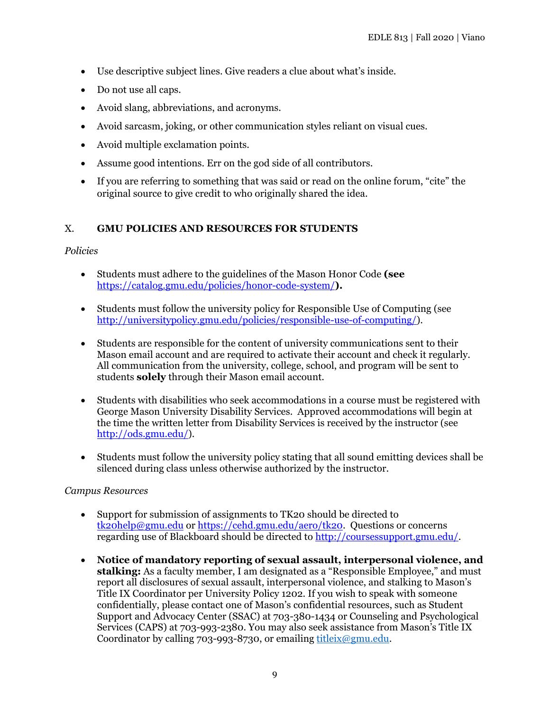- Use descriptive subject lines. Give readers a clue about what's inside.
- Do not use all caps.
- Avoid slang, abbreviations, and acronyms.
- Avoid sarcasm, joking, or other communication styles reliant on visual cues.
- Avoid multiple exclamation points.
- Assume good intentions. Err on the god side of all contributors.
- If you are referring to something that was said or read on the online forum, "cite" the original source to give credit to who originally shared the idea.

## X. **GMU POLICIES AND RESOURCES FOR STUDENTS**

### *Policies*

- Students must adhere to the guidelines of the Mason Honor Code **(see**  <https://catalog.gmu.edu/policies/honor-code-system/>**).**
- Students must follow the university policy for Responsible Use of Computing (see [http://universitypolicy.gmu.edu/policies/responsible-use-of-computing/\)](http://universitypolicy.gmu.edu/policies/responsible-use-of-computing/).
- Students are responsible for the content of university communications sent to their Mason email account and are required to activate their account and check it regularly. All communication from the university, college, school, and program will be sent to students **solely** through their Mason email account.
- Students with disabilities who seek accommodations in a course must be registered with George Mason University Disability Services. Approved accommodations will begin at the time the written letter from Disability Services is received by the instructor (see [http://ods.gmu.edu/\)](http://ods.gmu.edu/).
- Students must follow the university policy stating that all sound emitting devices shall be silenced during class unless otherwise authorized by the instructor.

## *Campus Resources*

- Support for submission of assignments to TK20 should be directed to [tk20help@gmu.edu](mailto:tk20help@gmu.edu) or [https://cehd.gmu.edu/aero/tk20.](https://cehd.gmu.edu/aero/tk20) Questions or concerns regarding use of Blackboard should be directed to [http://coursessupport.gmu.edu/.](http://coursessupport.gmu.edu/)
- **Notice of mandatory reporting of sexual assault, interpersonal violence, and stalking:** As a faculty member, I am designated as a "Responsible Employee," and must report all disclosures of sexual assault, interpersonal violence, and stalking to Mason's Title IX Coordinator per University Policy 1202. If you wish to speak with someone confidentially, please contact one of Mason's confidential resources, such as Student Support and Advocacy Center (SSAC) at 703-380-1434 or Counseling and Psychological Services (CAPS) at 703-993-2380. You may also seek assistance from Mason's Title IX Coordinator by calling 703-993-8730, or emailing  $t$ itleix@gmu.edu.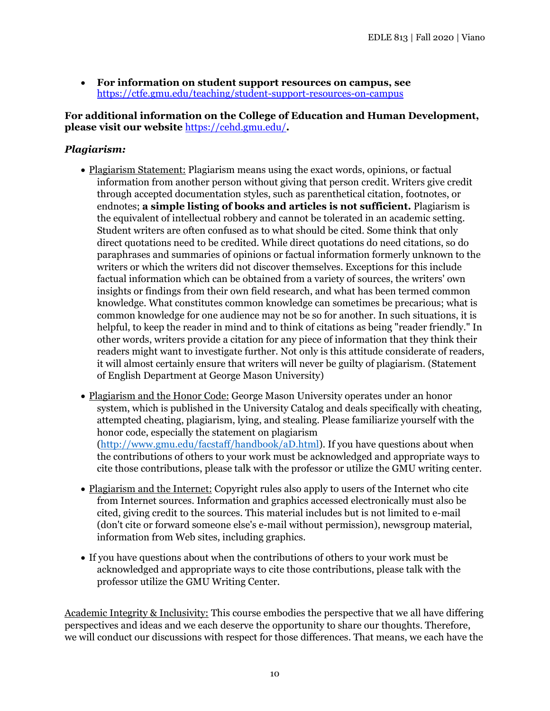• **For information on student support resources on campus, see**  <https://ctfe.gmu.edu/teaching/student-support-resources-on-campus>

### **For additional information on the College of Education and Human Development, please visit our website** <https://cehd.gmu.edu/>**.**

## *Plagiarism:*

- Plagiarism Statement: Plagiarism means using the exact words, opinions, or factual information from another person without giving that person credit. Writers give credit through accepted documentation styles, such as parenthetical citation, footnotes, or endnotes; **a simple listing of books and articles is not sufficient.** Plagiarism is the equivalent of intellectual robbery and cannot be tolerated in an academic setting. Student writers are often confused as to what should be cited. Some think that only direct quotations need to be credited. While direct quotations do need citations, so do paraphrases and summaries of opinions or factual information formerly unknown to the writers or which the writers did not discover themselves. Exceptions for this include factual information which can be obtained from a variety of sources, the writers' own insights or findings from their own field research, and what has been termed common knowledge. What constitutes common knowledge can sometimes be precarious; what is common knowledge for one audience may not be so for another. In such situations, it is helpful, to keep the reader in mind and to think of citations as being "reader friendly." In other words, writers provide a citation for any piece of information that they think their readers might want to investigate further. Not only is this attitude considerate of readers, it will almost certainly ensure that writers will never be guilty of plagiarism. (Statement of English Department at George Mason University)
- Plagiarism and the Honor Code: George Mason University operates under an honor system, which is published in the University Catalog and deals specifically with cheating, attempted cheating, plagiarism, lying, and stealing. Please familiarize yourself with the honor code, especially the statement on plagiarism [\(http://www.gmu.edu/facstaff/handbook/aD.html\)](http://www.gmu.edu/facstaff/handbook/aD.html). If you have questions about when the contributions of others to your work must be acknowledged and appropriate ways to cite those contributions, please talk with the professor or utilize the GMU writing center.
- Plagiarism and the Internet: Copyright rules also apply to users of the Internet who cite from Internet sources. Information and graphics accessed electronically must also be cited, giving credit to the sources. This material includes but is not limited to e-mail (don't cite or forward someone else's e-mail without permission), newsgroup material, information from Web sites, including graphics.
- If you have questions about when the contributions of others to your work must be acknowledged and appropriate ways to cite those contributions, please talk with the professor utilize the GMU Writing Center.

Academic Integrity & Inclusivity: This course embodies the perspective that we all have differing perspectives and ideas and we each deserve the opportunity to share our thoughts. Therefore, we will conduct our discussions with respect for those differences. That means, we each have the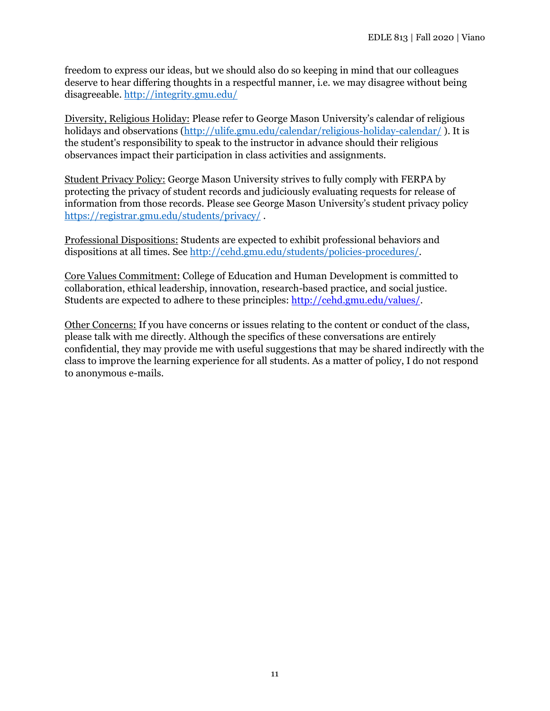freedom to express our ideas, but we should also do so keeping in mind that our colleagues deserve to hear differing thoughts in a respectful manner, i.e. we may disagree without being disagreeable.<http://integrity.gmu.edu/>

Diversity, Religious Holiday: Please refer to George Mason University's calendar of religious holidays and observations [\(http://ulife.gmu.edu/calendar/religious-holiday-calendar/](http://ulife.gmu.edu/calendar/religious-holiday-calendar/)). It is the student's responsibility to speak to the instructor in advance should their religious observances impact their participation in class activities and assignments.

Student Privacy Policy: George Mason University strives to fully comply with FERPA by protecting the privacy of student records and judiciously evaluating requests for release of information from those records. Please see George Mason University's student privacy policy <https://registrar.gmu.edu/students/privacy/> .

Professional Dispositions: Students are expected to exhibit professional behaviors and dispositions at all times. See [http://cehd.gmu.edu/students/policies-procedures/.](http://cehd.gmu.edu/students/policies-procedures/)

Core Values Commitment: College of Education and Human Development is committed to collaboration, ethical leadership, innovation, research-based practice, and social justice. Students are expected to adhere to these principles: [http://cehd.gmu.edu/values/.](http://cehd.gmu.edu/values/)

Other Concerns: If you have concerns or issues relating to the content or conduct of the class, please talk with me directly. Although the specifics of these conversations are entirely confidential, they may provide me with useful suggestions that may be shared indirectly with the class to improve the learning experience for all students. As a matter of policy, I do not respond to anonymous e-mails.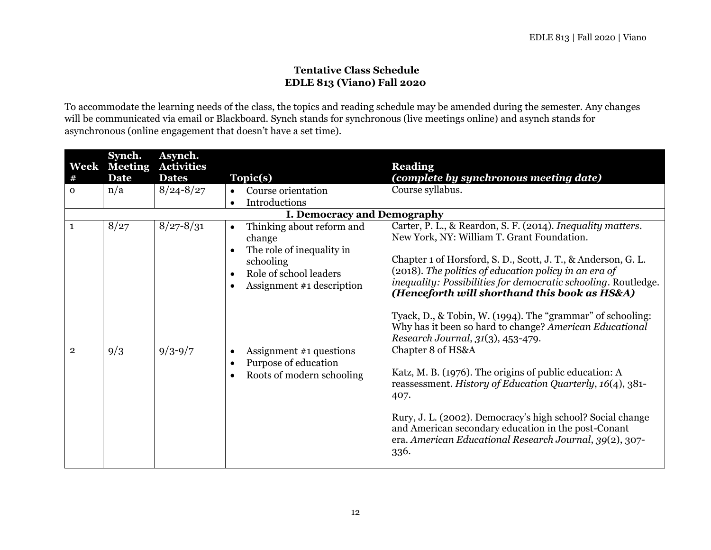## **Tentative Class Schedule EDLE 813 (Viano) Fall 2020**

To accommodate the learning needs of the class, the topics and reading schedule may be amended during the semester. Any changes will be communicated via email or Blackboard. Synch stands for synchronous (live meetings online) and asynch stands for asynchronous (online engagement that doesn't have a set time).

| Week<br>#      | Synch.<br><b>Meeting</b><br><b>Date</b> | Asynch.<br><b>Activities</b><br><b>Dates</b> | Topic(s)                                                                                                                                          | <b>Reading</b><br>(complete by synchronous meeting date)                                                                                                                                                                                                                                                                                                                                                                                                                                                             |
|----------------|-----------------------------------------|----------------------------------------------|---------------------------------------------------------------------------------------------------------------------------------------------------|----------------------------------------------------------------------------------------------------------------------------------------------------------------------------------------------------------------------------------------------------------------------------------------------------------------------------------------------------------------------------------------------------------------------------------------------------------------------------------------------------------------------|
| $\mathbf{O}$   | n/a                                     | $8/24 - 8/27$                                | Course orientation<br>Introductions<br>$\bullet$                                                                                                  | Course syllabus.                                                                                                                                                                                                                                                                                                                                                                                                                                                                                                     |
|                |                                         |                                              | <b>I. Democracy and Demography</b>                                                                                                                |                                                                                                                                                                                                                                                                                                                                                                                                                                                                                                                      |
|                | 8/27                                    | $8/27 - 8/31$                                | Thinking about reform and<br>$\bullet$<br>change<br>The role of inequality in<br>schooling<br>Role of school leaders<br>Assignment #1 description | Carter, P. L., & Reardon, S. F. (2014). Inequality matters.<br>New York, NY: William T. Grant Foundation.<br>Chapter 1 of Horsford, S. D., Scott, J. T., & Anderson, G. L.<br>(2018). The politics of education policy in an era of<br>inequality: Possibilities for democratic schooling. Routledge.<br>(Henceforth will shorthand this book as HS&A)<br>Tyack, D., & Tobin, W. (1994). The "grammar" of schooling:<br>Why has it been so hard to change? American Educational<br>Research Journal, 31(3), 453-479. |
| $\overline{2}$ | 9/3                                     | $9/3 - 9/7$                                  | Assignment #1 questions<br>$\bullet$<br>Purpose of education<br>$\bullet$<br>Roots of modern schooling                                            | Chapter 8 of HS&A<br>Katz, M. B. (1976). The origins of public education: A<br>reassessment. History of Education Quarterly, 16(4), 381-<br>407.<br>Rury, J. L. (2002). Democracy's high school? Social change<br>and American secondary education in the post-Conant<br>era. American Educational Research Journal, 39(2), 307-<br>336.                                                                                                                                                                             |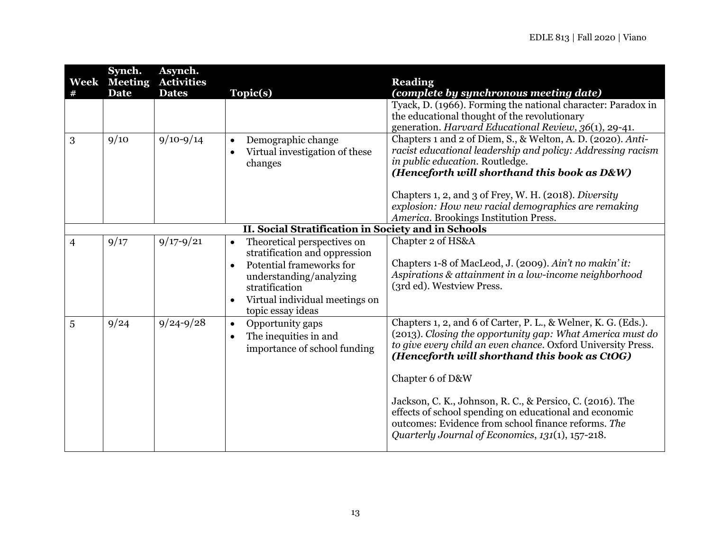| Week<br># | Synch.<br><b>Meeting</b><br><b>Date</b> | Asynch.<br><b>Activities</b><br><b>Dates</b> | Topic(s)                                                                                                                                                                                                  | <b>Reading</b><br>(complete by synchronous meeting date)                                                                                                                                                                                                                                                                      |
|-----------|-----------------------------------------|----------------------------------------------|-----------------------------------------------------------------------------------------------------------------------------------------------------------------------------------------------------------|-------------------------------------------------------------------------------------------------------------------------------------------------------------------------------------------------------------------------------------------------------------------------------------------------------------------------------|
|           |                                         |                                              |                                                                                                                                                                                                           | Tyack, D. (1966). Forming the national character: Paradox in<br>the educational thought of the revolutionary<br>generation. Harvard Educational Review, 36(1), 29-41.                                                                                                                                                         |
| 3         | 9/10                                    | $9/10 - 9/14$                                | Demographic change<br>$\bullet$<br>Virtual investigation of these<br>changes                                                                                                                              | Chapters 1 and 2 of Diem, S., & Welton, A. D. (2020). Anti-<br>racist educational leadership and policy: Addressing racism<br>in public education. Routledge.<br>(Henceforth will shorthand this book as D&W)                                                                                                                 |
|           |                                         |                                              |                                                                                                                                                                                                           | Chapters 1, 2, and 3 of Frey, W. H. (2018). Diversity<br>explosion: How new racial demographics are remaking<br>America. Brookings Institution Press.                                                                                                                                                                         |
|           |                                         |                                              | II. Social Stratification in Society and in Schools                                                                                                                                                       |                                                                                                                                                                                                                                                                                                                               |
| 4         | 9/17                                    | $9/17 - 9/21$                                | Theoretical perspectives on<br>$\bullet$<br>stratification and oppression<br>Potential frameworks for<br>understanding/analyzing<br>stratification<br>Virtual individual meetings on<br>topic essay ideas | Chapter 2 of HS&A<br>Chapters 1-8 of MacLeod, J. (2009). Ain't no makin' it:<br>Aspirations & attainment in a low-income neighborhood<br>(3rd ed). Westview Press.                                                                                                                                                            |
| 5         | 9/24                                    | $9/24 - 9/28$                                | Opportunity gaps<br>$\bullet$<br>The inequities in and<br>importance of school funding                                                                                                                    | Chapters 1, 2, and 6 of Carter, P. L., & Welner, K. G. (Eds.).<br>(2013). Closing the opportunity gap: What America must do<br>to give every child an even chance. Oxford University Press.<br>(Henceforth will shorthand this book as CtOG)<br>Chapter 6 of D&W<br>Jackson, C. K., Johnson, R. C., & Persico, C. (2016). The |
|           |                                         |                                              |                                                                                                                                                                                                           | effects of school spending on educational and economic<br>outcomes: Evidence from school finance reforms. The<br>Quarterly Journal of Economics, 131(1), 157-218.                                                                                                                                                             |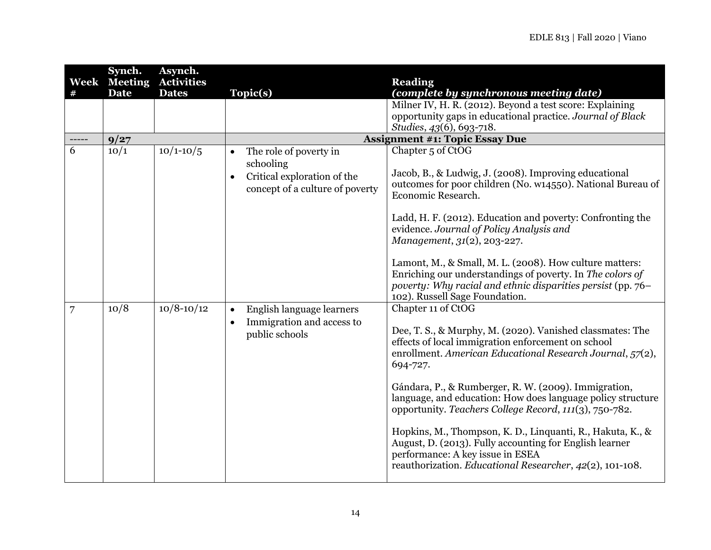|   | Synch.                             | Asynch.                           |                                                                |                                                                                                                                                                                                                       |
|---|------------------------------------|-----------------------------------|----------------------------------------------------------------|-----------------------------------------------------------------------------------------------------------------------------------------------------------------------------------------------------------------------|
|   | <b>Week Meeting</b><br><b>Date</b> | <b>Activities</b><br><b>Dates</b> | Topic(s)                                                       | <b>Reading</b><br>(complete by synchronous meeting date)                                                                                                                                                              |
|   |                                    |                                   |                                                                | Milner IV, H. R. (2012). Beyond a test score: Explaining                                                                                                                                                              |
|   |                                    |                                   |                                                                | opportunity gaps in educational practice. Journal of Black                                                                                                                                                            |
|   |                                    |                                   |                                                                | Studies, 43(6), 693-718.                                                                                                                                                                                              |
|   | 9/27                               |                                   |                                                                | <b>Assignment #1: Topic Essay Due</b>                                                                                                                                                                                 |
| 6 | 10/1                               | $10/1 - 10/5$                     | The role of poverty in<br>$\bullet$                            | Chapter 5 of CtOG                                                                                                                                                                                                     |
|   |                                    |                                   | schooling                                                      | Jacob, B., & Ludwig, J. (2008). Improving educational                                                                                                                                                                 |
|   |                                    |                                   | Critical exploration of the<br>concept of a culture of poverty | outcomes for poor children (No. w14550). National Bureau of<br>Economic Research.                                                                                                                                     |
|   |                                    |                                   |                                                                | Ladd, H. F. (2012). Education and poverty: Confronting the<br>evidence. Journal of Policy Analysis and<br>Management, 31(2), 203-227.                                                                                 |
|   |                                    |                                   |                                                                | Lamont, M., & Small, M. L. (2008). How culture matters:<br>Enriching our understandings of poverty. In The colors of<br>poverty: Why racial and ethnic disparities persist (pp. 76–<br>102). Russell Sage Foundation. |
| 7 | 10/8                               | $10/8 - 10/12$                    | English language learners<br>$\bullet$                         | Chapter 11 of CtOG                                                                                                                                                                                                    |
|   |                                    |                                   | Immigration and access to<br>public schools                    | Dee, T. S., & Murphy, M. (2020). Vanished classmates: The<br>effects of local immigration enforcement on school<br>enrollment. American Educational Research Journal, 57(2),<br>694-727.                              |
|   |                                    |                                   |                                                                | Gándara, P., & Rumberger, R. W. (2009). Immigration,<br>language, and education: How does language policy structure<br>opportunity. Teachers College Record, 111(3), 750-782.                                         |
|   |                                    |                                   |                                                                | Hopkins, M., Thompson, K. D., Linquanti, R., Hakuta, K., &<br>August, D. (2013). Fully accounting for English learner<br>performance: A key issue in ESEA<br>reauthorization. Educational Researcher, 42(2), 101-108. |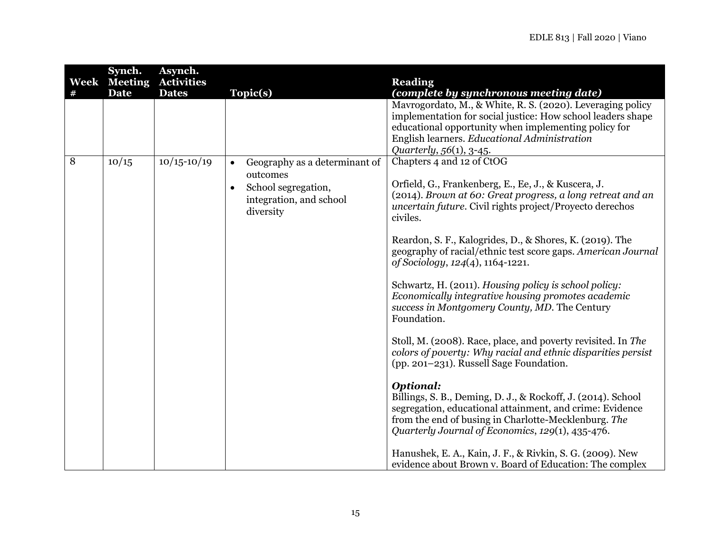| Week | Synch.<br><b>Meeting</b><br><b>Date</b> | Asynch.<br><b>Activities</b><br><b>Dates</b> | Topic(s)                                                                                                                           | <b>Reading</b><br>(complete by synchronous meeting date)                                                                                                                                                                                                     |
|------|-----------------------------------------|----------------------------------------------|------------------------------------------------------------------------------------------------------------------------------------|--------------------------------------------------------------------------------------------------------------------------------------------------------------------------------------------------------------------------------------------------------------|
|      |                                         |                                              |                                                                                                                                    | Mavrogordato, M., & White, R. S. (2020). Leveraging policy<br>implementation for social justice: How school leaders shape<br>educational opportunity when implementing policy for<br>English learners. Educational Administration<br>Quarterly, 56(1), 3-45. |
| 8    | 10/15                                   | $10/15 - 10/19$                              | Geography as a determinant of<br>$\bullet$<br>outcomes<br>School segregation,<br>$\bullet$<br>integration, and school<br>diversity | Chapters 4 and 12 of CtOG<br>Orfield, G., Frankenberg, E., Ee, J., & Kuscera, J.<br>(2014). Brown at 60: Great progress, a long retreat and an<br>uncertain future. Civil rights project/Proyecto derechos<br>civiles.                                       |
|      |                                         |                                              |                                                                                                                                    | Reardon, S. F., Kalogrides, D., & Shores, K. (2019). The<br>geography of racial/ethnic test score gaps. American Journal<br>of Sociology, 124(4), 1164-1221.                                                                                                 |
|      |                                         |                                              |                                                                                                                                    | Schwartz, H. (2011). Housing policy is school policy:<br>Economically integrative housing promotes academic<br>success in Montgomery County, MD. The Century<br>Foundation.                                                                                  |
|      |                                         |                                              |                                                                                                                                    | Stoll, M. (2008). Race, place, and poverty revisited. In The<br>colors of poverty: Why racial and ethnic disparities persist<br>(pp. 201–231). Russell Sage Foundation.                                                                                      |
|      |                                         |                                              |                                                                                                                                    | <b>Optional:</b><br>Billings, S. B., Deming, D. J., & Rockoff, J. (2014). School<br>segregation, educational attainment, and crime: Evidence<br>from the end of busing in Charlotte-Mecklenburg. The<br>Quarterly Journal of Economics, 129(1), 435-476.     |
|      |                                         |                                              |                                                                                                                                    | Hanushek, E. A., Kain, J. F., & Rivkin, S. G. (2009). New<br>evidence about Brown v. Board of Education: The complex                                                                                                                                         |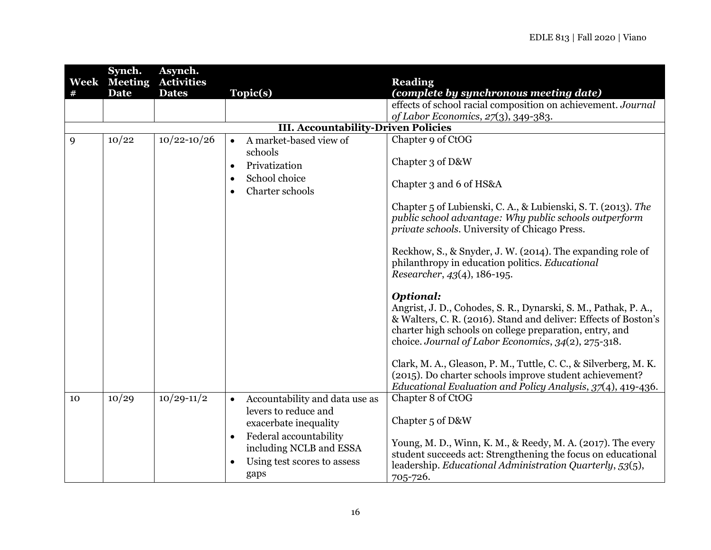|      | Synch.         | Asynch.           |                                             |                                                                  |
|------|----------------|-------------------|---------------------------------------------|------------------------------------------------------------------|
| Week | <b>Meeting</b> | <b>Activities</b> |                                             | <b>Reading</b>                                                   |
|      | <b>Date</b>    | <b>Dates</b>      | Topic(s)                                    | (complete by synchronous meeting date)                           |
|      |                |                   |                                             | effects of school racial composition on achievement. Journal     |
|      |                |                   |                                             | of Labor Economics, 27(3), 349-383.                              |
|      |                |                   | <b>III. Accountability-Driven Policies</b>  |                                                                  |
| 9    | 10/22          | $10/22 - 10/26$   | A market-based view of<br>$\bullet$         | Chapter 9 of CtOG                                                |
|      |                |                   | schools                                     |                                                                  |
|      |                |                   | Privatization<br>$\bullet$                  | Chapter 3 of D&W                                                 |
|      |                |                   |                                             |                                                                  |
|      |                |                   | School choice                               | Chapter 3 and 6 of HS&A                                          |
|      |                |                   | Charter schools<br>$\bullet$                |                                                                  |
|      |                |                   |                                             | Chapter 5 of Lubienski, C. A., & Lubienski, S. T. (2013). The    |
|      |                |                   |                                             | public school advantage: Why public schools outperform           |
|      |                |                   |                                             | private schools. University of Chicago Press.                    |
|      |                |                   |                                             |                                                                  |
|      |                |                   |                                             | Reckhow, S., & Snyder, J. W. (2014). The expanding role of       |
|      |                |                   |                                             | philanthropy in education politics. Educational                  |
|      |                |                   |                                             | Researcher, 43(4), 186-195.                                      |
|      |                |                   |                                             |                                                                  |
|      |                |                   |                                             | <b>Optional:</b>                                                 |
|      |                |                   |                                             | Angrist, J. D., Cohodes, S. R., Dynarski, S. M., Pathak, P. A.,  |
|      |                |                   |                                             | & Walters, C. R. (2016). Stand and deliver: Effects of Boston's  |
|      |                |                   |                                             | charter high schools on college preparation, entry, and          |
|      |                |                   |                                             | choice. Journal of Labor Economics, 34(2), 275-318.              |
|      |                |                   |                                             |                                                                  |
|      |                |                   |                                             | Clark, M. A., Gleason, P. M., Tuttle, C. C., & Silverberg, M. K. |
|      |                |                   |                                             | (2015). Do charter schools improve student achievement?          |
|      |                |                   |                                             | Educational Evaluation and Policy Analysis, 37(4), 419-436.      |
| 10   | 10/29          | $10/29 - 11/2$    | Accountability and data use as<br>$\bullet$ | Chapter 8 of CtOG                                                |
|      |                |                   | levers to reduce and                        |                                                                  |
|      |                |                   | exacerbate inequality                       | Chapter 5 of D&W                                                 |
|      |                |                   | Federal accountability<br>$\bullet$         |                                                                  |
|      |                |                   | including NCLB and ESSA                     | Young, M. D., Winn, K. M., & Reedy, M. A. (2017). The every      |
|      |                |                   | Using test scores to assess                 | student succeeds act: Strengthening the focus on educational     |
|      |                |                   | gaps                                        | leadership. Educational Administration Quarterly, 53(5),         |
|      |                |                   |                                             | 705-726.                                                         |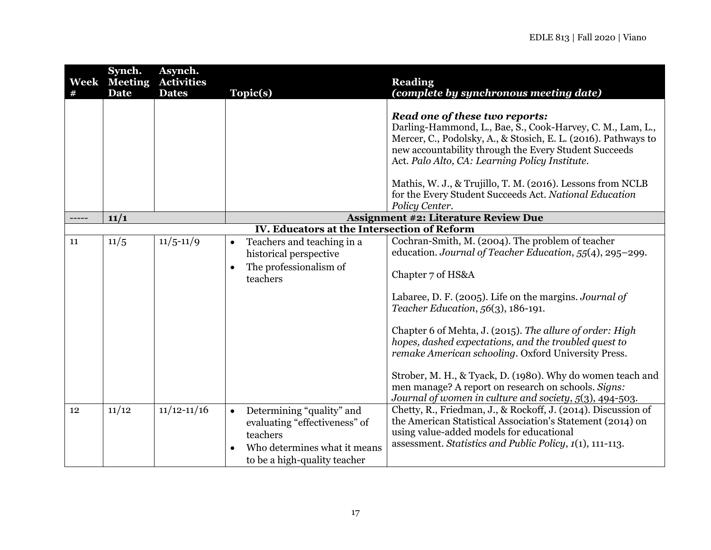| #  | Synch.<br><b>Week</b> Meeting<br><b>Date</b> | Asynch.<br><b>Activities</b><br><b>Dates</b> | Topic(s)                                                          | <b>Reading</b><br>(complete by synchronous meeting date)                                                                                                                                                                                                                  |
|----|----------------------------------------------|----------------------------------------------|-------------------------------------------------------------------|---------------------------------------------------------------------------------------------------------------------------------------------------------------------------------------------------------------------------------------------------------------------------|
|    |                                              |                                              |                                                                   |                                                                                                                                                                                                                                                                           |
|    |                                              |                                              |                                                                   | Read one of these two reports:<br>Darling-Hammond, L., Bae, S., Cook-Harvey, C. M., Lam, L.,<br>Mercer, C., Podolsky, A., & Stosich, E. L. (2016). Pathways to<br>new accountability through the Every Student Succeeds<br>Act. Palo Alto, CA: Learning Policy Institute. |
|    |                                              |                                              |                                                                   | Mathis, W. J., & Trujillo, T. M. (2016). Lessons from NCLB<br>for the Every Student Succeeds Act. National Education<br>Policy Center.                                                                                                                                    |
|    | 11/1                                         |                                              | <b>Assignment #2: Literature Review Due</b>                       |                                                                                                                                                                                                                                                                           |
|    |                                              |                                              | <b>IV. Educators at the Intersection of Reform</b>                |                                                                                                                                                                                                                                                                           |
| 11 | 11/5                                         | $11/5 - 11/9$                                | Teachers and teaching in a<br>$\bullet$<br>historical perspective | Cochran-Smith, M. (2004). The problem of teacher<br>education. Journal of Teacher Education, 55(4), 295-299.                                                                                                                                                              |
|    |                                              |                                              | The professionalism of<br>teachers                                | Chapter 7 of HS&A                                                                                                                                                                                                                                                         |
|    |                                              |                                              |                                                                   | Labaree, D. F. (2005). Life on the margins. Journal of<br>Teacher Education, $56(3)$ , 186-191.                                                                                                                                                                           |
|    |                                              |                                              |                                                                   | Chapter 6 of Mehta, J. (2015). The allure of order: High<br>hopes, dashed expectations, and the troubled quest to<br>remake American schooling. Oxford University Press.                                                                                                  |
|    |                                              |                                              |                                                                   | Strober, M. H., & Tyack, D. (1980). Why do women teach and<br>men manage? A report on research on schools. Signs:<br>Journal of women in culture and society, 5(3), 494-503.                                                                                              |
| 12 | 11/12                                        | $11/12 - 11/16$                              | Determining "quality" and<br>$\bullet$                            | Chetty, R., Friedman, J., & Rockoff, J. (2014). Discussion of                                                                                                                                                                                                             |
|    |                                              |                                              | evaluating "effectiveness" of                                     | the American Statistical Association's Statement (2014) on<br>using value-added models for educational                                                                                                                                                                    |
|    |                                              |                                              | teachers                                                          | assessment. Statistics and Public Policy, 1(1), 111-113.                                                                                                                                                                                                                  |
|    |                                              |                                              | Who determines what it means                                      |                                                                                                                                                                                                                                                                           |
|    |                                              |                                              | to be a high-quality teacher                                      |                                                                                                                                                                                                                                                                           |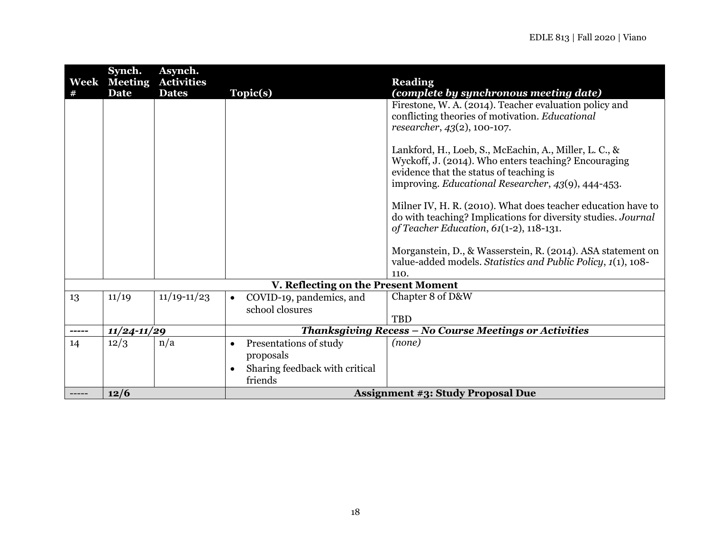| Week  | Synch.<br><b>Meeting</b> | Asynch.<br><b>Activities</b> |                                                                                               | <b>Reading</b>                                                                                                                                                                                                  |
|-------|--------------------------|------------------------------|-----------------------------------------------------------------------------------------------|-----------------------------------------------------------------------------------------------------------------------------------------------------------------------------------------------------------------|
|       | <b>Date</b>              | <b>Dates</b>                 | Topic(s)                                                                                      | (complete by synchronous meeting date)                                                                                                                                                                          |
|       |                          |                              |                                                                                               | Firestone, W. A. (2014). Teacher evaluation policy and<br>conflicting theories of motivation. Educational<br>researcher, 43(2), 100-107.                                                                        |
|       |                          |                              |                                                                                               | Lankford, H., Loeb, S., McEachin, A., Miller, L. C., &<br>Wyckoff, J. (2014). Who enters teaching? Encouraging<br>evidence that the status of teaching is<br>improving. Educational Researcher, 43(9), 444-453. |
|       |                          |                              |                                                                                               | Milner IV, H. R. (2010). What does teacher education have to<br>do with teaching? Implications for diversity studies. Journal<br>of Teacher Education, 61(1-2), 118-131.                                        |
|       |                          |                              |                                                                                               | Morganstein, D., & Wasserstein, R. (2014). ASA statement on<br>value-added models. Statistics and Public Policy, 1(1), 108-<br>110.                                                                             |
|       |                          |                              | V. Reflecting on the Present Moment                                                           |                                                                                                                                                                                                                 |
| 13    | 11/19                    | $11/19 - 11/23$              | COVID-19, pandemics, and<br>$\bullet$<br>school closures                                      | Chapter 8 of D&W<br><b>TBD</b>                                                                                                                                                                                  |
| ----- | $11/24 - 11/29$          |                              |                                                                                               | Thanksgiving Recess - No Course Meetings or Activities                                                                                                                                                          |
| 14    | 12/3                     | n/a                          | Presentations of study<br>$\bullet$<br>proposals<br>Sharing feedback with critical<br>friends | (none)                                                                                                                                                                                                          |
|       | 12/6                     |                              |                                                                                               | <b>Assignment #3: Study Proposal Due</b>                                                                                                                                                                        |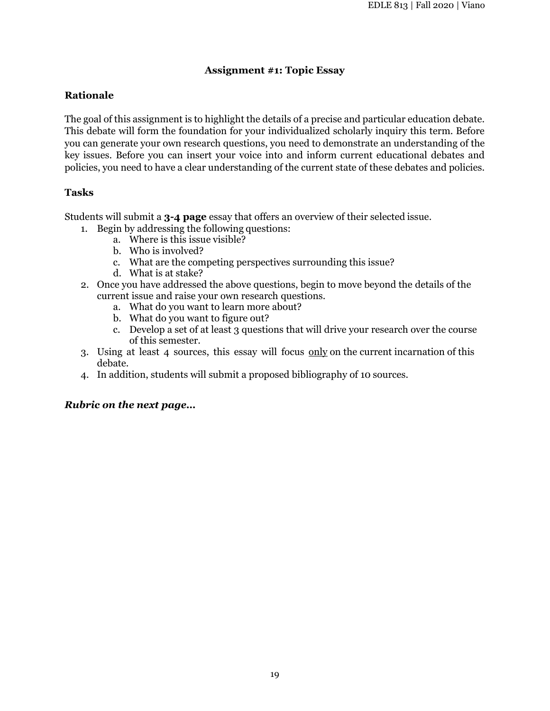## **Assignment #1: Topic Essay**

## **Rationale**

The goal of this assignment is to highlight the details of a precise and particular education debate. This debate will form the foundation for your individualized scholarly inquiry this term. Before you can generate your own research questions, you need to demonstrate an understanding of the key issues. Before you can insert your voice into and inform current educational debates and policies, you need to have a clear understanding of the current state of these debates and policies.

## **Tasks**

Students will submit a **3-4 page** essay that offers an overview of their selected issue.

- 1. Begin by addressing the following questions:
	- a. Where is this issue visible?
	- b. Who is involved?
	- c. What are the competing perspectives surrounding this issue?
	- d. What is at stake?
- 2. Once you have addressed the above questions, begin to move beyond the details of the current issue and raise your own research questions.
	- a. What do you want to learn more about?
	- b. What do you want to figure out?
	- c. Develop a set of at least 3 questions that will drive your research over the course of this semester.
- 3. Using at least 4 sources, this essay will focus only on the current incarnation of this debate.
- 4. In addition, students will submit a proposed bibliography of 10 sources.

## *Rubric on the next page…*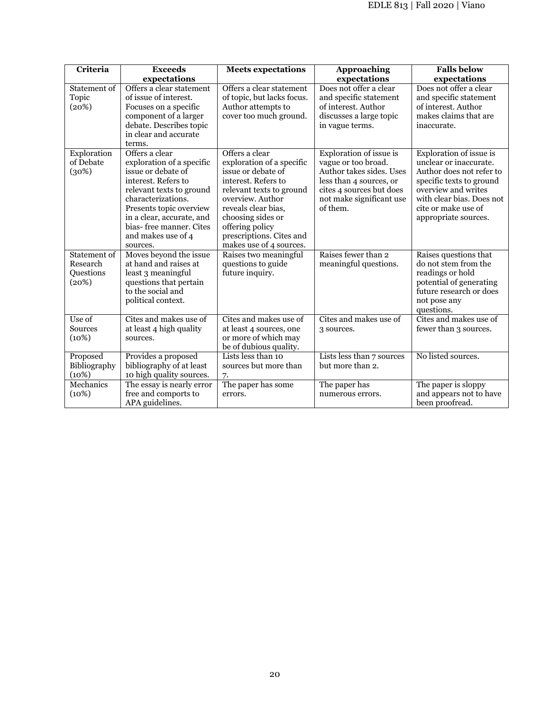| Criteria                                       | <b>Exceeds</b>                                                                                                                                                                                                                                                  | <b>Meets</b> expectations                                                                                                                                                                                                                                      | Approaching                                                                                                                                                               | <b>Falls below</b>                                                                                                                                                                                           |
|------------------------------------------------|-----------------------------------------------------------------------------------------------------------------------------------------------------------------------------------------------------------------------------------------------------------------|----------------------------------------------------------------------------------------------------------------------------------------------------------------------------------------------------------------------------------------------------------------|---------------------------------------------------------------------------------------------------------------------------------------------------------------------------|--------------------------------------------------------------------------------------------------------------------------------------------------------------------------------------------------------------|
|                                                | expectations                                                                                                                                                                                                                                                    |                                                                                                                                                                                                                                                                | expectations                                                                                                                                                              | expectations                                                                                                                                                                                                 |
| Statement of<br>Topic<br>(20%)                 | Offers a clear statement<br>of issue of interest.<br>Focuses on a specific<br>component of a larger<br>debate. Describes topic<br>in clear and accurate<br>terms.                                                                                               | Offers a clear statement<br>of topic, but lacks focus.<br>Author attempts to<br>cover too much ground.                                                                                                                                                         | Does not offer a clear<br>and specific statement<br>of interest. Author<br>discusses a large topic<br>in vague terms.                                                     | Does not offer a clear<br>and specific statement<br>of interest. Author<br>makes claims that are<br>inaccurate.                                                                                              |
| Exploration<br>of Debate<br>(30%)              | Offers a clear<br>exploration of a specific<br>issue or debate of<br>interest. Refers to<br>relevant texts to ground<br>characterizations.<br>Presents topic overview<br>in a clear, accurate, and<br>bias-free manner. Cites<br>and makes use of 4<br>sources. | Offers a clear<br>exploration of a specific<br>issue or debate of<br>interest. Refers to<br>relevant texts to ground<br>overview. Author<br>reveals clear bias,<br>choosing sides or<br>offering policy<br>prescriptions. Cites and<br>makes use of 4 sources. | Exploration of issue is<br>vague or too broad.<br>Author takes sides. Uses<br>less than 4 sources, or<br>cites 4 sources but does<br>not make significant use<br>of them. | Exploration of issue is<br>unclear or inaccurate.<br>Author does not refer to<br>specific texts to ground<br>overview and writes<br>with clear bias. Does not<br>cite or make use of<br>appropriate sources. |
| Statement of<br>Research<br>Questions<br>(20%) | Moves beyond the issue<br>at hand and raises at<br>least 3 meaningful<br>questions that pertain<br>to the social and<br>political context.                                                                                                                      | Raises two meaningful<br>questions to guide<br>future inquiry.                                                                                                                                                                                                 | Raises fewer than 2<br>meaningful questions.                                                                                                                              | Raises questions that<br>do not stem from the<br>readings or hold<br>potential of generating<br>future research or does<br>not pose any<br>questions.                                                        |
| Use of<br>Sources<br>(10%)                     | Cites and makes use of<br>at least 4 high quality<br>sources.                                                                                                                                                                                                   | Cites and makes use of<br>at least 4 sources, one<br>or more of which may<br>be of dubious quality.                                                                                                                                                            | Cites and makes use of<br>3 sources.                                                                                                                                      | Cites and makes use of<br>fewer than 3 sources.                                                                                                                                                              |
| Proposed<br>Bibliography<br>(10%)              | Provides a proposed<br>bibliography of at least<br>10 high quality sources.                                                                                                                                                                                     | Lists less than 10<br>sources but more than<br>7.                                                                                                                                                                                                              | Lists less than 7 sources<br>but more than 2.                                                                                                                             | No listed sources.                                                                                                                                                                                           |
| Mechanics<br>(10%)                             | The essay is nearly error<br>free and comports to<br>APA guidelines.                                                                                                                                                                                            | The paper has some<br>errors.                                                                                                                                                                                                                                  | The paper has<br>numerous errors.                                                                                                                                         | The paper is sloppy<br>and appears not to have<br>been proofread.                                                                                                                                            |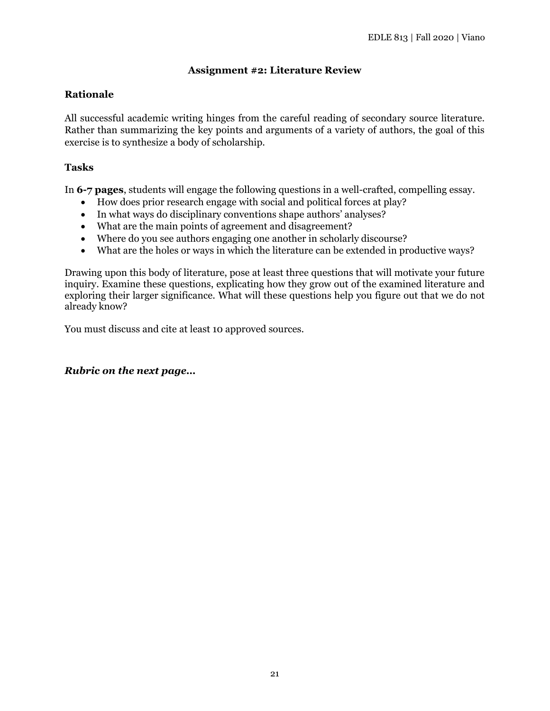## **Assignment #2: Literature Review**

### **Rationale**

All successful academic writing hinges from the careful reading of secondary source literature. Rather than summarizing the key points and arguments of a variety of authors, the goal of this exercise is to synthesize a body of scholarship.

#### **Tasks**

In **6-7 pages**, students will engage the following questions in a well-crafted, compelling essay.

- How does prior research engage with social and political forces at play?
- In what ways do disciplinary conventions shape authors' analyses?
- What are the main points of agreement and disagreement?
- Where do you see authors engaging one another in scholarly discourse?
- What are the holes or ways in which the literature can be extended in productive ways?

Drawing upon this body of literature, pose at least three questions that will motivate your future inquiry. Examine these questions, explicating how they grow out of the examined literature and exploring their larger significance. What will these questions help you figure out that we do not already know?

You must discuss and cite at least 10 approved sources.

#### *Rubric on the next page…*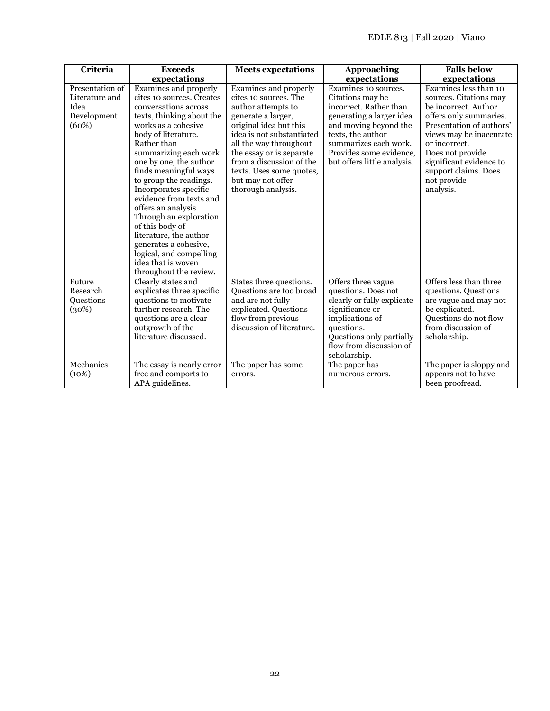| Criteria                                                          | <b>Exceeds</b>                                                                                                                                                                                                                                                                                                                                                                                                                                                                                                                   | <b>Meets expectations</b>                                                                                                                                                                                                                                                                                  | Approaching                                                                                                                                                                                                                     | <b>Falls below</b>                                                                                                                                                                                                                                                           |
|-------------------------------------------------------------------|----------------------------------------------------------------------------------------------------------------------------------------------------------------------------------------------------------------------------------------------------------------------------------------------------------------------------------------------------------------------------------------------------------------------------------------------------------------------------------------------------------------------------------|------------------------------------------------------------------------------------------------------------------------------------------------------------------------------------------------------------------------------------------------------------------------------------------------------------|---------------------------------------------------------------------------------------------------------------------------------------------------------------------------------------------------------------------------------|------------------------------------------------------------------------------------------------------------------------------------------------------------------------------------------------------------------------------------------------------------------------------|
|                                                                   | expectations                                                                                                                                                                                                                                                                                                                                                                                                                                                                                                                     |                                                                                                                                                                                                                                                                                                            | expectations                                                                                                                                                                                                                    | expectations                                                                                                                                                                                                                                                                 |
| Presentation of<br>Literature and<br>Idea<br>Development<br>(60%) | Examines and properly<br>cites 10 sources. Creates<br>conversations across<br>texts, thinking about the<br>works as a cohesive<br>body of literature.<br>Rather than<br>summarizing each work<br>one by one, the author<br>finds meaningful ways<br>to group the readings.<br>Incorporates specific<br>evidence from texts and<br>offers an analysis.<br>Through an exploration<br>of this body of<br>literature, the author<br>generates a cohesive,<br>logical, and compelling<br>idea that is woven<br>throughout the review. | Examines and properly<br>cites 10 sources. The<br>author attempts to<br>generate a larger,<br>original idea but this<br>idea is not substantiated<br>all the way throughout<br>the essay or is separate<br>from a discussion of the<br>texts. Uses some quotes,<br>but may not offer<br>thorough analysis. | Examines 10 sources.<br>Citations may be<br>incorrect. Rather than<br>generating a larger idea<br>and moving beyond the<br>texts, the author<br>summarizes each work.<br>Provides some evidence,<br>but offers little analysis. | Examines less than 10<br>sources. Citations may<br>be incorrect. Author<br>offers only summaries.<br>Presentation of authors'<br>views may be inaccurate<br>or incorrect.<br>Does not provide<br>significant evidence to<br>support claims. Does<br>not provide<br>analysis. |
| Future<br>Research<br><b>Ouestions</b><br>(30%)                   | Clearly states and<br>explicates three specific<br>questions to motivate<br>further research. The<br>questions are a clear<br>outgrowth of the<br>literature discussed.                                                                                                                                                                                                                                                                                                                                                          | States three questions.<br>Questions are too broad<br>and are not fully<br>explicated. Questions<br>flow from previous<br>discussion of literature.                                                                                                                                                        | Offers three vague<br>questions. Does not<br>clearly or fully explicate<br>significance or<br>implications of<br>questions.<br>Questions only partially<br>flow from discussion of<br>scholarship.                              | Offers less than three<br>questions. Questions<br>are vague and may not<br>be explicated.<br>Questions do not flow<br>from discussion of<br>scholarship.                                                                                                                     |
| Mechanics<br>(10%)                                                | The essay is nearly error<br>free and comports to<br>APA guidelines.                                                                                                                                                                                                                                                                                                                                                                                                                                                             | The paper has some<br>errors.                                                                                                                                                                                                                                                                              | The paper has<br>numerous errors.                                                                                                                                                                                               | The paper is sloppy and<br>appears not to have<br>been proofread.                                                                                                                                                                                                            |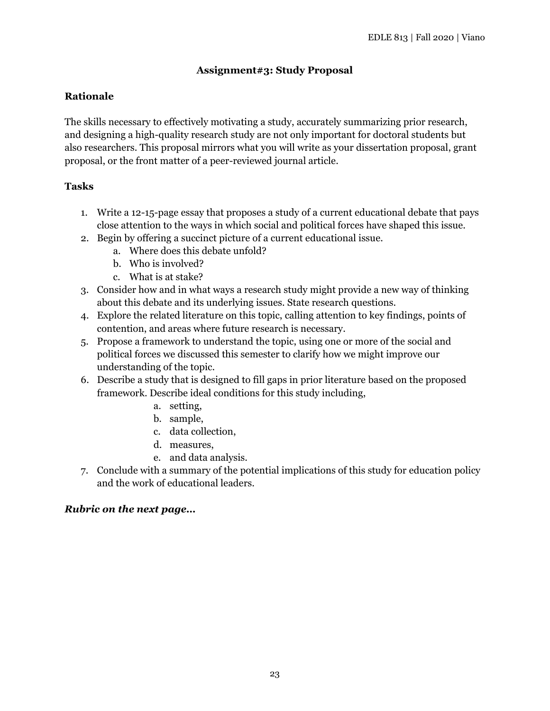## **Assignment#3: Study Proposal**

## **Rationale**

The skills necessary to effectively motivating a study, accurately summarizing prior research, and designing a high-quality research study are not only important for doctoral students but also researchers. This proposal mirrors what you will write as your dissertation proposal, grant proposal, or the front matter of a peer-reviewed journal article.

## **Tasks**

- 1. Write a 12-15-page essay that proposes a study of a current educational debate that pays close attention to the ways in which social and political forces have shaped this issue.
- 2. Begin by offering a succinct picture of a current educational issue.
	- a. Where does this debate unfold?
	- b. Who is involved?
	- c. What is at stake?
- 3. Consider how and in what ways a research study might provide a new way of thinking about this debate and its underlying issues. State research questions.
- 4. Explore the related literature on this topic, calling attention to key findings, points of contention, and areas where future research is necessary.
- 5. Propose a framework to understand the topic, using one or more of the social and political forces we discussed this semester to clarify how we might improve our understanding of the topic.
- 6. Describe a study that is designed to fill gaps in prior literature based on the proposed framework. Describe ideal conditions for this study including,
	- a. setting,
	- b. sample,
	- c. data collection,
	- d. measures,
	- e. and data analysis.
- 7. Conclude with a summary of the potential implications of this study for education policy and the work of educational leaders.

## *Rubric on the next page…*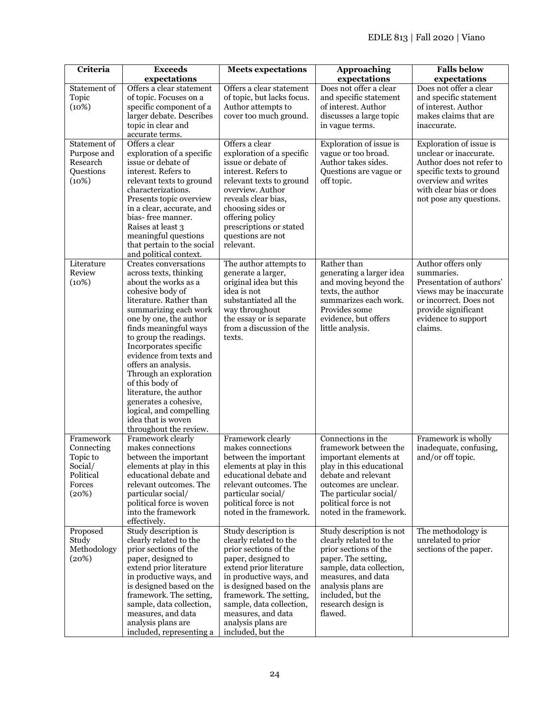| expectations<br>expectations<br>Offers a clear statement<br>Does not offer a clear<br>Does not offer a clear<br>Statement of<br>Offers a clear statement<br>Topic<br>of topic. Focuses on a<br>of topic, but lacks focus.<br>and specific statement<br>and specific statement<br>specific component of a<br>Author attempts to<br>of interest. Author<br>of interest. Author<br>(10%)<br>discusses a large topic<br>makes claims that are<br>larger debate. Describes<br>cover too much ground.<br>topic in clear and<br>inaccurate.<br>in vague terms.<br>accurate terms.<br>Offers a clear<br>Offers a clear<br>Statement of<br>Exploration of issue is<br>Exploration of issue is<br>exploration of a specific<br>vague or too broad.<br>unclear or inaccurate.<br>Purpose and<br>exploration of a specific<br>Author takes sides.<br>Research<br>issue or debate of<br>issue or debate of<br>Author does not refer to<br>Questions<br>interest. Refers to<br>interest. Refers to<br>Questions are vague or<br>specific texts to ground<br>(10%)<br>relevant texts to ground<br>relevant texts to ground<br>off topic.<br>overview and writes<br>with clear bias or does<br>overview. Author<br>characterizations.<br>reveals clear bias,<br>Presents topic overview<br>in a clear, accurate, and<br>choosing sides or<br>bias-free manner.<br>offering policy<br>Raises at least 3<br>prescriptions or stated<br>meaningful questions<br>questions are not<br>that pertain to the social<br>relevant.<br>and political context.<br>Literature<br>Creates conversations<br>Rather than<br>Author offers only<br>The author attempts to<br>Review<br>generate a larger,<br>generating a larger idea<br>summaries.<br>across texts, thinking<br>(10%)<br>and moving beyond the<br>Presentation of authors'<br>about the works as a<br>original idea but this<br>cohesive body of<br>idea is not<br>texts, the author<br>views may be inaccurate<br>literature. Rather than<br>substantiated all the<br>summarizes each work.<br>or incorrect. Does not<br>summarizing each work<br>way throughout<br>Provides some<br>provide significant<br>one by one, the author<br>the essay or is separate<br>evidence, but offers<br>evidence to support<br>finds meaningful ways<br>from a discussion of the<br>claims.<br>little analysis.<br>to group the readings.<br>texts.<br>Incorporates specific<br>evidence from texts and | Criteria | <b>Exceeds</b>      | <b>Meets expectations</b> | <b>Approaching</b> | <b>Falls below</b>      |
|-----------------------------------------------------------------------------------------------------------------------------------------------------------------------------------------------------------------------------------------------------------------------------------------------------------------------------------------------------------------------------------------------------------------------------------------------------------------------------------------------------------------------------------------------------------------------------------------------------------------------------------------------------------------------------------------------------------------------------------------------------------------------------------------------------------------------------------------------------------------------------------------------------------------------------------------------------------------------------------------------------------------------------------------------------------------------------------------------------------------------------------------------------------------------------------------------------------------------------------------------------------------------------------------------------------------------------------------------------------------------------------------------------------------------------------------------------------------------------------------------------------------------------------------------------------------------------------------------------------------------------------------------------------------------------------------------------------------------------------------------------------------------------------------------------------------------------------------------------------------------------------------------------------------------------------------------------------------------------------------------------------------------------------------------------------------------------------------------------------------------------------------------------------------------------------------------------------------------------------------------------------------------------------------------------------------------------------------------------------------------------------------------------------------------------|----------|---------------------|---------------------------|--------------------|-------------------------|
|                                                                                                                                                                                                                                                                                                                                                                                                                                                                                                                                                                                                                                                                                                                                                                                                                                                                                                                                                                                                                                                                                                                                                                                                                                                                                                                                                                                                                                                                                                                                                                                                                                                                                                                                                                                                                                                                                                                                                                                                                                                                                                                                                                                                                                                                                                                                                                                                                             |          |                     |                           | expectations       |                         |
|                                                                                                                                                                                                                                                                                                                                                                                                                                                                                                                                                                                                                                                                                                                                                                                                                                                                                                                                                                                                                                                                                                                                                                                                                                                                                                                                                                                                                                                                                                                                                                                                                                                                                                                                                                                                                                                                                                                                                                                                                                                                                                                                                                                                                                                                                                                                                                                                                             |          |                     |                           |                    |                         |
|                                                                                                                                                                                                                                                                                                                                                                                                                                                                                                                                                                                                                                                                                                                                                                                                                                                                                                                                                                                                                                                                                                                                                                                                                                                                                                                                                                                                                                                                                                                                                                                                                                                                                                                                                                                                                                                                                                                                                                                                                                                                                                                                                                                                                                                                                                                                                                                                                             |          |                     |                           |                    |                         |
|                                                                                                                                                                                                                                                                                                                                                                                                                                                                                                                                                                                                                                                                                                                                                                                                                                                                                                                                                                                                                                                                                                                                                                                                                                                                                                                                                                                                                                                                                                                                                                                                                                                                                                                                                                                                                                                                                                                                                                                                                                                                                                                                                                                                                                                                                                                                                                                                                             |          |                     |                           |                    |                         |
|                                                                                                                                                                                                                                                                                                                                                                                                                                                                                                                                                                                                                                                                                                                                                                                                                                                                                                                                                                                                                                                                                                                                                                                                                                                                                                                                                                                                                                                                                                                                                                                                                                                                                                                                                                                                                                                                                                                                                                                                                                                                                                                                                                                                                                                                                                                                                                                                                             |          |                     |                           |                    |                         |
|                                                                                                                                                                                                                                                                                                                                                                                                                                                                                                                                                                                                                                                                                                                                                                                                                                                                                                                                                                                                                                                                                                                                                                                                                                                                                                                                                                                                                                                                                                                                                                                                                                                                                                                                                                                                                                                                                                                                                                                                                                                                                                                                                                                                                                                                                                                                                                                                                             |          |                     |                           |                    |                         |
|                                                                                                                                                                                                                                                                                                                                                                                                                                                                                                                                                                                                                                                                                                                                                                                                                                                                                                                                                                                                                                                                                                                                                                                                                                                                                                                                                                                                                                                                                                                                                                                                                                                                                                                                                                                                                                                                                                                                                                                                                                                                                                                                                                                                                                                                                                                                                                                                                             |          |                     |                           |                    |                         |
|                                                                                                                                                                                                                                                                                                                                                                                                                                                                                                                                                                                                                                                                                                                                                                                                                                                                                                                                                                                                                                                                                                                                                                                                                                                                                                                                                                                                                                                                                                                                                                                                                                                                                                                                                                                                                                                                                                                                                                                                                                                                                                                                                                                                                                                                                                                                                                                                                             |          |                     |                           |                    |                         |
|                                                                                                                                                                                                                                                                                                                                                                                                                                                                                                                                                                                                                                                                                                                                                                                                                                                                                                                                                                                                                                                                                                                                                                                                                                                                                                                                                                                                                                                                                                                                                                                                                                                                                                                                                                                                                                                                                                                                                                                                                                                                                                                                                                                                                                                                                                                                                                                                                             |          |                     |                           |                    |                         |
|                                                                                                                                                                                                                                                                                                                                                                                                                                                                                                                                                                                                                                                                                                                                                                                                                                                                                                                                                                                                                                                                                                                                                                                                                                                                                                                                                                                                                                                                                                                                                                                                                                                                                                                                                                                                                                                                                                                                                                                                                                                                                                                                                                                                                                                                                                                                                                                                                             |          |                     |                           |                    |                         |
|                                                                                                                                                                                                                                                                                                                                                                                                                                                                                                                                                                                                                                                                                                                                                                                                                                                                                                                                                                                                                                                                                                                                                                                                                                                                                                                                                                                                                                                                                                                                                                                                                                                                                                                                                                                                                                                                                                                                                                                                                                                                                                                                                                                                                                                                                                                                                                                                                             |          |                     |                           |                    |                         |
|                                                                                                                                                                                                                                                                                                                                                                                                                                                                                                                                                                                                                                                                                                                                                                                                                                                                                                                                                                                                                                                                                                                                                                                                                                                                                                                                                                                                                                                                                                                                                                                                                                                                                                                                                                                                                                                                                                                                                                                                                                                                                                                                                                                                                                                                                                                                                                                                                             |          |                     |                           |                    |                         |
|                                                                                                                                                                                                                                                                                                                                                                                                                                                                                                                                                                                                                                                                                                                                                                                                                                                                                                                                                                                                                                                                                                                                                                                                                                                                                                                                                                                                                                                                                                                                                                                                                                                                                                                                                                                                                                                                                                                                                                                                                                                                                                                                                                                                                                                                                                                                                                                                                             |          |                     |                           |                    | not pose any questions. |
|                                                                                                                                                                                                                                                                                                                                                                                                                                                                                                                                                                                                                                                                                                                                                                                                                                                                                                                                                                                                                                                                                                                                                                                                                                                                                                                                                                                                                                                                                                                                                                                                                                                                                                                                                                                                                                                                                                                                                                                                                                                                                                                                                                                                                                                                                                                                                                                                                             |          |                     |                           |                    |                         |
|                                                                                                                                                                                                                                                                                                                                                                                                                                                                                                                                                                                                                                                                                                                                                                                                                                                                                                                                                                                                                                                                                                                                                                                                                                                                                                                                                                                                                                                                                                                                                                                                                                                                                                                                                                                                                                                                                                                                                                                                                                                                                                                                                                                                                                                                                                                                                                                                                             |          |                     |                           |                    |                         |
|                                                                                                                                                                                                                                                                                                                                                                                                                                                                                                                                                                                                                                                                                                                                                                                                                                                                                                                                                                                                                                                                                                                                                                                                                                                                                                                                                                                                                                                                                                                                                                                                                                                                                                                                                                                                                                                                                                                                                                                                                                                                                                                                                                                                                                                                                                                                                                                                                             |          |                     |                           |                    |                         |
|                                                                                                                                                                                                                                                                                                                                                                                                                                                                                                                                                                                                                                                                                                                                                                                                                                                                                                                                                                                                                                                                                                                                                                                                                                                                                                                                                                                                                                                                                                                                                                                                                                                                                                                                                                                                                                                                                                                                                                                                                                                                                                                                                                                                                                                                                                                                                                                                                             |          |                     |                           |                    |                         |
|                                                                                                                                                                                                                                                                                                                                                                                                                                                                                                                                                                                                                                                                                                                                                                                                                                                                                                                                                                                                                                                                                                                                                                                                                                                                                                                                                                                                                                                                                                                                                                                                                                                                                                                                                                                                                                                                                                                                                                                                                                                                                                                                                                                                                                                                                                                                                                                                                             |          |                     |                           |                    |                         |
|                                                                                                                                                                                                                                                                                                                                                                                                                                                                                                                                                                                                                                                                                                                                                                                                                                                                                                                                                                                                                                                                                                                                                                                                                                                                                                                                                                                                                                                                                                                                                                                                                                                                                                                                                                                                                                                                                                                                                                                                                                                                                                                                                                                                                                                                                                                                                                                                                             |          |                     |                           |                    |                         |
|                                                                                                                                                                                                                                                                                                                                                                                                                                                                                                                                                                                                                                                                                                                                                                                                                                                                                                                                                                                                                                                                                                                                                                                                                                                                                                                                                                                                                                                                                                                                                                                                                                                                                                                                                                                                                                                                                                                                                                                                                                                                                                                                                                                                                                                                                                                                                                                                                             |          |                     |                           |                    |                         |
|                                                                                                                                                                                                                                                                                                                                                                                                                                                                                                                                                                                                                                                                                                                                                                                                                                                                                                                                                                                                                                                                                                                                                                                                                                                                                                                                                                                                                                                                                                                                                                                                                                                                                                                                                                                                                                                                                                                                                                                                                                                                                                                                                                                                                                                                                                                                                                                                                             |          |                     |                           |                    |                         |
|                                                                                                                                                                                                                                                                                                                                                                                                                                                                                                                                                                                                                                                                                                                                                                                                                                                                                                                                                                                                                                                                                                                                                                                                                                                                                                                                                                                                                                                                                                                                                                                                                                                                                                                                                                                                                                                                                                                                                                                                                                                                                                                                                                                                                                                                                                                                                                                                                             |          |                     |                           |                    |                         |
|                                                                                                                                                                                                                                                                                                                                                                                                                                                                                                                                                                                                                                                                                                                                                                                                                                                                                                                                                                                                                                                                                                                                                                                                                                                                                                                                                                                                                                                                                                                                                                                                                                                                                                                                                                                                                                                                                                                                                                                                                                                                                                                                                                                                                                                                                                                                                                                                                             |          |                     |                           |                    |                         |
|                                                                                                                                                                                                                                                                                                                                                                                                                                                                                                                                                                                                                                                                                                                                                                                                                                                                                                                                                                                                                                                                                                                                                                                                                                                                                                                                                                                                                                                                                                                                                                                                                                                                                                                                                                                                                                                                                                                                                                                                                                                                                                                                                                                                                                                                                                                                                                                                                             |          |                     |                           |                    |                         |
|                                                                                                                                                                                                                                                                                                                                                                                                                                                                                                                                                                                                                                                                                                                                                                                                                                                                                                                                                                                                                                                                                                                                                                                                                                                                                                                                                                                                                                                                                                                                                                                                                                                                                                                                                                                                                                                                                                                                                                                                                                                                                                                                                                                                                                                                                                                                                                                                                             |          |                     |                           |                    |                         |
|                                                                                                                                                                                                                                                                                                                                                                                                                                                                                                                                                                                                                                                                                                                                                                                                                                                                                                                                                                                                                                                                                                                                                                                                                                                                                                                                                                                                                                                                                                                                                                                                                                                                                                                                                                                                                                                                                                                                                                                                                                                                                                                                                                                                                                                                                                                                                                                                                             |          |                     |                           |                    |                         |
|                                                                                                                                                                                                                                                                                                                                                                                                                                                                                                                                                                                                                                                                                                                                                                                                                                                                                                                                                                                                                                                                                                                                                                                                                                                                                                                                                                                                                                                                                                                                                                                                                                                                                                                                                                                                                                                                                                                                                                                                                                                                                                                                                                                                                                                                                                                                                                                                                             |          |                     |                           |                    |                         |
|                                                                                                                                                                                                                                                                                                                                                                                                                                                                                                                                                                                                                                                                                                                                                                                                                                                                                                                                                                                                                                                                                                                                                                                                                                                                                                                                                                                                                                                                                                                                                                                                                                                                                                                                                                                                                                                                                                                                                                                                                                                                                                                                                                                                                                                                                                                                                                                                                             |          |                     |                           |                    |                         |
|                                                                                                                                                                                                                                                                                                                                                                                                                                                                                                                                                                                                                                                                                                                                                                                                                                                                                                                                                                                                                                                                                                                                                                                                                                                                                                                                                                                                                                                                                                                                                                                                                                                                                                                                                                                                                                                                                                                                                                                                                                                                                                                                                                                                                                                                                                                                                                                                                             |          |                     |                           |                    |                         |
|                                                                                                                                                                                                                                                                                                                                                                                                                                                                                                                                                                                                                                                                                                                                                                                                                                                                                                                                                                                                                                                                                                                                                                                                                                                                                                                                                                                                                                                                                                                                                                                                                                                                                                                                                                                                                                                                                                                                                                                                                                                                                                                                                                                                                                                                                                                                                                                                                             |          | offers an analysis. |                           |                    |                         |
| Through an exploration                                                                                                                                                                                                                                                                                                                                                                                                                                                                                                                                                                                                                                                                                                                                                                                                                                                                                                                                                                                                                                                                                                                                                                                                                                                                                                                                                                                                                                                                                                                                                                                                                                                                                                                                                                                                                                                                                                                                                                                                                                                                                                                                                                                                                                                                                                                                                                                                      |          |                     |                           |                    |                         |
| of this body of<br>literature, the author                                                                                                                                                                                                                                                                                                                                                                                                                                                                                                                                                                                                                                                                                                                                                                                                                                                                                                                                                                                                                                                                                                                                                                                                                                                                                                                                                                                                                                                                                                                                                                                                                                                                                                                                                                                                                                                                                                                                                                                                                                                                                                                                                                                                                                                                                                                                                                                   |          |                     |                           |                    |                         |
| generates a cohesive,                                                                                                                                                                                                                                                                                                                                                                                                                                                                                                                                                                                                                                                                                                                                                                                                                                                                                                                                                                                                                                                                                                                                                                                                                                                                                                                                                                                                                                                                                                                                                                                                                                                                                                                                                                                                                                                                                                                                                                                                                                                                                                                                                                                                                                                                                                                                                                                                       |          |                     |                           |                    |                         |
| logical, and compelling                                                                                                                                                                                                                                                                                                                                                                                                                                                                                                                                                                                                                                                                                                                                                                                                                                                                                                                                                                                                                                                                                                                                                                                                                                                                                                                                                                                                                                                                                                                                                                                                                                                                                                                                                                                                                                                                                                                                                                                                                                                                                                                                                                                                                                                                                                                                                                                                     |          |                     |                           |                    |                         |
| idea that is woven                                                                                                                                                                                                                                                                                                                                                                                                                                                                                                                                                                                                                                                                                                                                                                                                                                                                                                                                                                                                                                                                                                                                                                                                                                                                                                                                                                                                                                                                                                                                                                                                                                                                                                                                                                                                                                                                                                                                                                                                                                                                                                                                                                                                                                                                                                                                                                                                          |          |                     |                           |                    |                         |
| throughout the review.                                                                                                                                                                                                                                                                                                                                                                                                                                                                                                                                                                                                                                                                                                                                                                                                                                                                                                                                                                                                                                                                                                                                                                                                                                                                                                                                                                                                                                                                                                                                                                                                                                                                                                                                                                                                                                                                                                                                                                                                                                                                                                                                                                                                                                                                                                                                                                                                      |          |                     |                           |                    |                         |
| Connections in the<br>Framework<br>Framework clearly<br>Framework clearly<br>Framework is wholly                                                                                                                                                                                                                                                                                                                                                                                                                                                                                                                                                                                                                                                                                                                                                                                                                                                                                                                                                                                                                                                                                                                                                                                                                                                                                                                                                                                                                                                                                                                                                                                                                                                                                                                                                                                                                                                                                                                                                                                                                                                                                                                                                                                                                                                                                                                            |          |                     |                           |                    |                         |
| makes connections<br>makes connections<br>framework between the<br>Connecting                                                                                                                                                                                                                                                                                                                                                                                                                                                                                                                                                                                                                                                                                                                                                                                                                                                                                                                                                                                                                                                                                                                                                                                                                                                                                                                                                                                                                                                                                                                                                                                                                                                                                                                                                                                                                                                                                                                                                                                                                                                                                                                                                                                                                                                                                                                                               |          |                     |                           |                    | inadequate, confusing,  |
| between the important<br>between the important<br>important elements at<br>and/or off topic.<br>Topic to                                                                                                                                                                                                                                                                                                                                                                                                                                                                                                                                                                                                                                                                                                                                                                                                                                                                                                                                                                                                                                                                                                                                                                                                                                                                                                                                                                                                                                                                                                                                                                                                                                                                                                                                                                                                                                                                                                                                                                                                                                                                                                                                                                                                                                                                                                                    |          |                     |                           |                    |                         |
| Social/<br>elements at play in this<br>elements at play in this<br>play in this educational                                                                                                                                                                                                                                                                                                                                                                                                                                                                                                                                                                                                                                                                                                                                                                                                                                                                                                                                                                                                                                                                                                                                                                                                                                                                                                                                                                                                                                                                                                                                                                                                                                                                                                                                                                                                                                                                                                                                                                                                                                                                                                                                                                                                                                                                                                                                 |          |                     |                           |                    |                         |
| Political<br>educational debate and<br>educational debate and<br>debate and relevant                                                                                                                                                                                                                                                                                                                                                                                                                                                                                                                                                                                                                                                                                                                                                                                                                                                                                                                                                                                                                                                                                                                                                                                                                                                                                                                                                                                                                                                                                                                                                                                                                                                                                                                                                                                                                                                                                                                                                                                                                                                                                                                                                                                                                                                                                                                                        |          |                     |                           |                    |                         |
| relevant outcomes. The<br>relevant outcomes. The<br>outcomes are unclear.<br>Forces                                                                                                                                                                                                                                                                                                                                                                                                                                                                                                                                                                                                                                                                                                                                                                                                                                                                                                                                                                                                                                                                                                                                                                                                                                                                                                                                                                                                                                                                                                                                                                                                                                                                                                                                                                                                                                                                                                                                                                                                                                                                                                                                                                                                                                                                                                                                         |          |                     |                           |                    |                         |
| particular social/<br>The particular social/<br>(20%)<br>particular social/<br>political force is woven<br>political force is not<br>political force is not                                                                                                                                                                                                                                                                                                                                                                                                                                                                                                                                                                                                                                                                                                                                                                                                                                                                                                                                                                                                                                                                                                                                                                                                                                                                                                                                                                                                                                                                                                                                                                                                                                                                                                                                                                                                                                                                                                                                                                                                                                                                                                                                                                                                                                                                 |          |                     |                           |                    |                         |
| into the framework<br>noted in the framework.<br>noted in the framework.                                                                                                                                                                                                                                                                                                                                                                                                                                                                                                                                                                                                                                                                                                                                                                                                                                                                                                                                                                                                                                                                                                                                                                                                                                                                                                                                                                                                                                                                                                                                                                                                                                                                                                                                                                                                                                                                                                                                                                                                                                                                                                                                                                                                                                                                                                                                                    |          |                     |                           |                    |                         |
| effectively.                                                                                                                                                                                                                                                                                                                                                                                                                                                                                                                                                                                                                                                                                                                                                                                                                                                                                                                                                                                                                                                                                                                                                                                                                                                                                                                                                                                                                                                                                                                                                                                                                                                                                                                                                                                                                                                                                                                                                                                                                                                                                                                                                                                                                                                                                                                                                                                                                |          |                     |                           |                    |                         |
| Study description is<br>Study description is<br>Study description is not<br>The methodology is<br>Proposed                                                                                                                                                                                                                                                                                                                                                                                                                                                                                                                                                                                                                                                                                                                                                                                                                                                                                                                                                                                                                                                                                                                                                                                                                                                                                                                                                                                                                                                                                                                                                                                                                                                                                                                                                                                                                                                                                                                                                                                                                                                                                                                                                                                                                                                                                                                  |          |                     |                           |                    |                         |
| clearly related to the<br>clearly related to the<br>clearly related to the<br>unrelated to prior<br>Study                                                                                                                                                                                                                                                                                                                                                                                                                                                                                                                                                                                                                                                                                                                                                                                                                                                                                                                                                                                                                                                                                                                                                                                                                                                                                                                                                                                                                                                                                                                                                                                                                                                                                                                                                                                                                                                                                                                                                                                                                                                                                                                                                                                                                                                                                                                   |          |                     |                           |                    |                         |
| Methodology<br>prior sections of the<br>prior sections of the<br>prior sections of the                                                                                                                                                                                                                                                                                                                                                                                                                                                                                                                                                                                                                                                                                                                                                                                                                                                                                                                                                                                                                                                                                                                                                                                                                                                                                                                                                                                                                                                                                                                                                                                                                                                                                                                                                                                                                                                                                                                                                                                                                                                                                                                                                                                                                                                                                                                                      |          |                     |                           |                    | sections of the paper.  |
| (20%)<br>paper, designed to<br>paper, designed to<br>paper. The setting,                                                                                                                                                                                                                                                                                                                                                                                                                                                                                                                                                                                                                                                                                                                                                                                                                                                                                                                                                                                                                                                                                                                                                                                                                                                                                                                                                                                                                                                                                                                                                                                                                                                                                                                                                                                                                                                                                                                                                                                                                                                                                                                                                                                                                                                                                                                                                    |          |                     |                           |                    |                         |
| extend prior literature<br>extend prior literature<br>sample, data collection,                                                                                                                                                                                                                                                                                                                                                                                                                                                                                                                                                                                                                                                                                                                                                                                                                                                                                                                                                                                                                                                                                                                                                                                                                                                                                                                                                                                                                                                                                                                                                                                                                                                                                                                                                                                                                                                                                                                                                                                                                                                                                                                                                                                                                                                                                                                                              |          |                     |                           |                    |                         |
| in productive ways, and<br>in productive ways, and<br>measures, and data                                                                                                                                                                                                                                                                                                                                                                                                                                                                                                                                                                                                                                                                                                                                                                                                                                                                                                                                                                                                                                                                                                                                                                                                                                                                                                                                                                                                                                                                                                                                                                                                                                                                                                                                                                                                                                                                                                                                                                                                                                                                                                                                                                                                                                                                                                                                                    |          |                     |                           |                    |                         |
| is designed based on the<br>is designed based on the<br>analysis plans are                                                                                                                                                                                                                                                                                                                                                                                                                                                                                                                                                                                                                                                                                                                                                                                                                                                                                                                                                                                                                                                                                                                                                                                                                                                                                                                                                                                                                                                                                                                                                                                                                                                                                                                                                                                                                                                                                                                                                                                                                                                                                                                                                                                                                                                                                                                                                  |          |                     |                           |                    |                         |
| framework. The setting,<br>framework. The setting,<br>included, but the                                                                                                                                                                                                                                                                                                                                                                                                                                                                                                                                                                                                                                                                                                                                                                                                                                                                                                                                                                                                                                                                                                                                                                                                                                                                                                                                                                                                                                                                                                                                                                                                                                                                                                                                                                                                                                                                                                                                                                                                                                                                                                                                                                                                                                                                                                                                                     |          |                     |                           |                    |                         |
| sample, data collection,<br>sample, data collection,<br>research design is<br>flawed.                                                                                                                                                                                                                                                                                                                                                                                                                                                                                                                                                                                                                                                                                                                                                                                                                                                                                                                                                                                                                                                                                                                                                                                                                                                                                                                                                                                                                                                                                                                                                                                                                                                                                                                                                                                                                                                                                                                                                                                                                                                                                                                                                                                                                                                                                                                                       |          |                     |                           |                    |                         |
| measures, and data<br>measures, and data<br>analysis plans are<br>analysis plans are                                                                                                                                                                                                                                                                                                                                                                                                                                                                                                                                                                                                                                                                                                                                                                                                                                                                                                                                                                                                                                                                                                                                                                                                                                                                                                                                                                                                                                                                                                                                                                                                                                                                                                                                                                                                                                                                                                                                                                                                                                                                                                                                                                                                                                                                                                                                        |          |                     |                           |                    |                         |
| included, representing a<br>included, but the                                                                                                                                                                                                                                                                                                                                                                                                                                                                                                                                                                                                                                                                                                                                                                                                                                                                                                                                                                                                                                                                                                                                                                                                                                                                                                                                                                                                                                                                                                                                                                                                                                                                                                                                                                                                                                                                                                                                                                                                                                                                                                                                                                                                                                                                                                                                                                               |          |                     |                           |                    |                         |